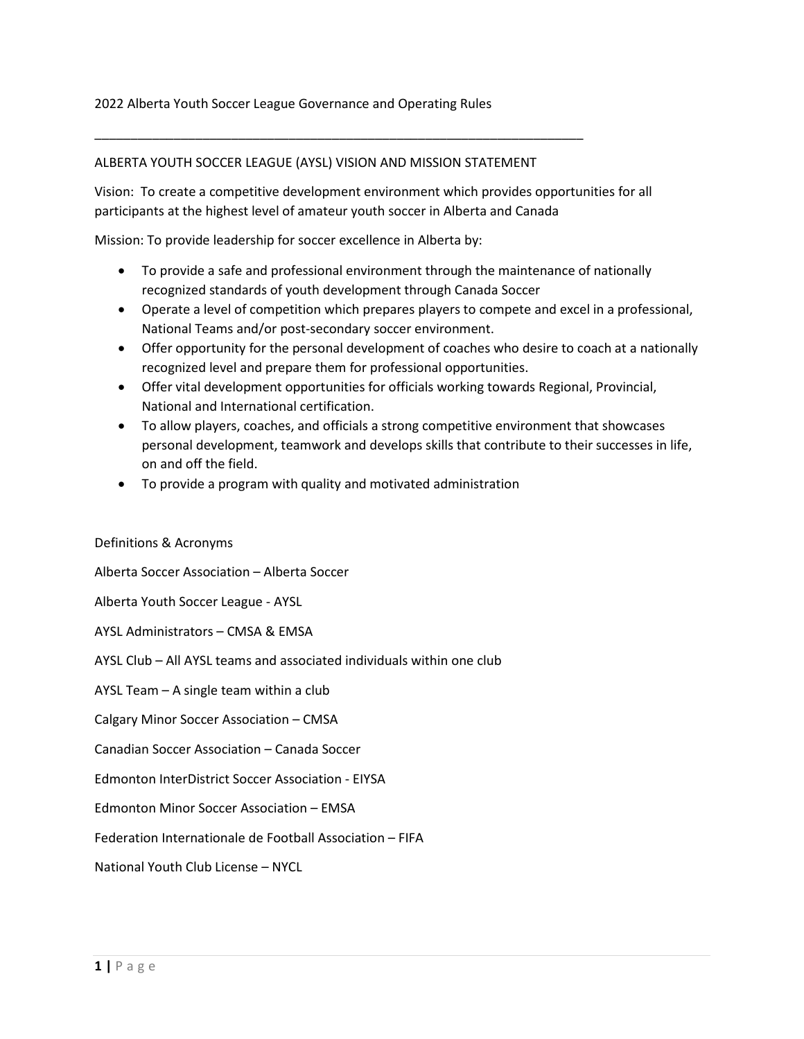#### ALBERTA YOUTH SOCCER LEAGUE (AYSL) VISION AND MISSION STATEMENT

\_\_\_\_\_\_\_\_\_\_\_\_\_\_\_\_\_\_\_\_\_\_\_\_\_\_\_\_\_\_\_\_\_\_\_\_\_\_\_\_\_\_\_\_\_\_\_\_\_\_\_\_\_\_\_\_\_\_\_\_\_\_\_\_\_\_\_\_

Vision: To create a competitive development environment which provides opportunities for all participants at the highest level of amateur youth soccer in Alberta and Canada

Mission: To provide leadership for soccer excellence in Alberta by:

- To provide a safe and professional environment through the maintenance of nationally recognized standards of youth development through Canada Soccer
- Operate a level of competition which prepares players to compete and excel in a professional, National Teams and/or post-secondary soccer environment.
- Offer opportunity for the personal development of coaches who desire to coach at a nationally recognized level and prepare them for professional opportunities.
- Offer vital development opportunities for officials working towards Regional, Provincial, National and International certification.
- To allow players, coaches, and officials a strong competitive environment that showcases personal development, teamwork and develops skills that contribute to their successes in life, on and off the field.
- To provide a program with quality and motivated administration

#### Definitions & Acronyms

Alberta Soccer Association – Alberta Soccer

Alberta Youth Soccer League - AYSL

AYSL Administrators – CMSA & EMSA

AYSL Club – All AYSL teams and associated individuals within one club

AYSL Team – A single team within a club

Calgary Minor Soccer Association – CMSA

Canadian Soccer Association – Canada Soccer

Edmonton InterDistrict Soccer Association - EIYSA

Edmonton Minor Soccer Association – EMSA

Federation Internationale de Football Association – FIFA

National Youth Club License – NYCL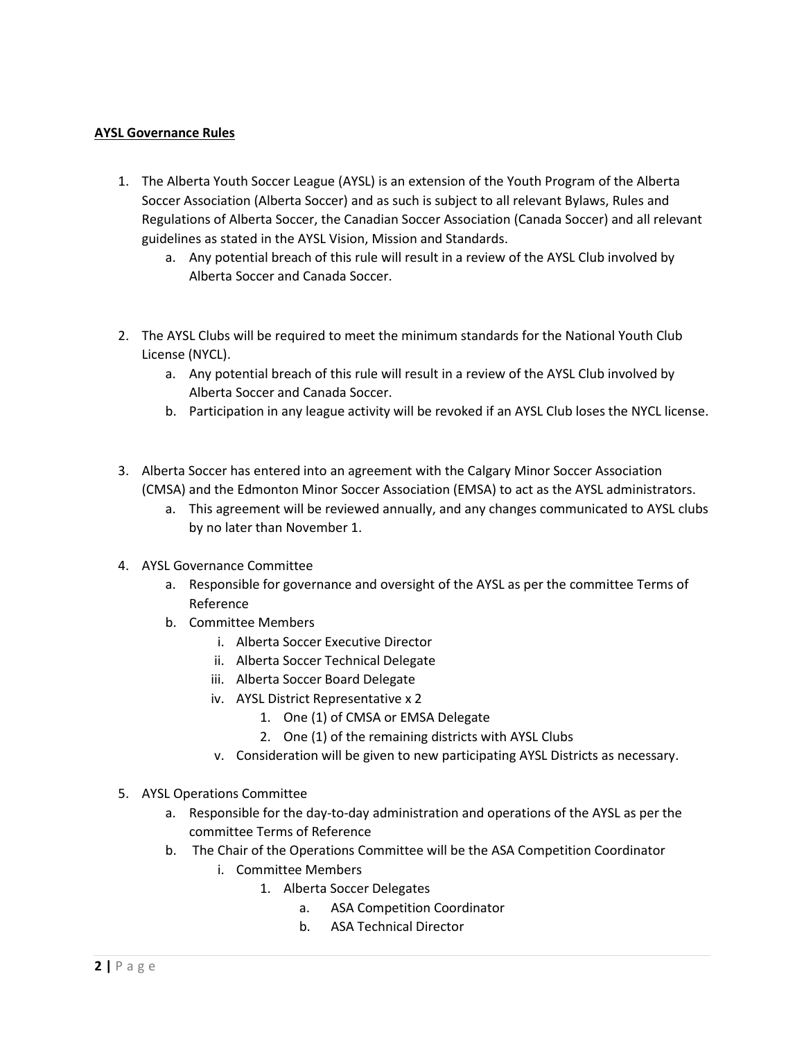### **AYSL Governance Rules**

- 1. The Alberta Youth Soccer League (AYSL) is an extension of the Youth Program of the Alberta Soccer Association (Alberta Soccer) and as such is subject to all relevant Bylaws, Rules and Regulations of Alberta Soccer, the Canadian Soccer Association (Canada Soccer) and all relevant guidelines as stated in the AYSL Vision, Mission and Standards.
	- a. Any potential breach of this rule will result in a review of the AYSL Club involved by Alberta Soccer and Canada Soccer.
- 2. The AYSL Clubs will be required to meet the minimum standards for the National Youth Club License (NYCL).
	- a. Any potential breach of this rule will result in a review of the AYSL Club involved by Alberta Soccer and Canada Soccer.
	- b. Participation in any league activity will be revoked if an AYSL Club loses the NYCL license.
- 3. Alberta Soccer has entered into an agreement with the Calgary Minor Soccer Association (CMSA) and the Edmonton Minor Soccer Association (EMSA) to act as the AYSL administrators.
	- a. This agreement will be reviewed annually, and any changes communicated to AYSL clubs by no later than November 1.
- 4. AYSL Governance Committee
	- a. Responsible for governance and oversight of the AYSL as per the committee Terms of Reference
	- b. Committee Members
		- i. Alberta Soccer Executive Director
		- ii. Alberta Soccer Technical Delegate
		- iii. Alberta Soccer Board Delegate
		- iv. AYSL District Representative x 2
			- 1. One (1) of CMSA or EMSA Delegate
			- 2. One (1) of the remaining districts with AYSL Clubs
		- v. Consideration will be given to new participating AYSL Districts as necessary.
- 5. AYSL Operations Committee
	- a. Responsible for the day-to-day administration and operations of the AYSL as per the committee Terms of Reference
	- b. The Chair of the Operations Committee will be the ASA Competition Coordinator
		- i. Committee Members
			- 1. Alberta Soccer Delegates
				- a. ASA Competition Coordinator
				- b. ASA Technical Director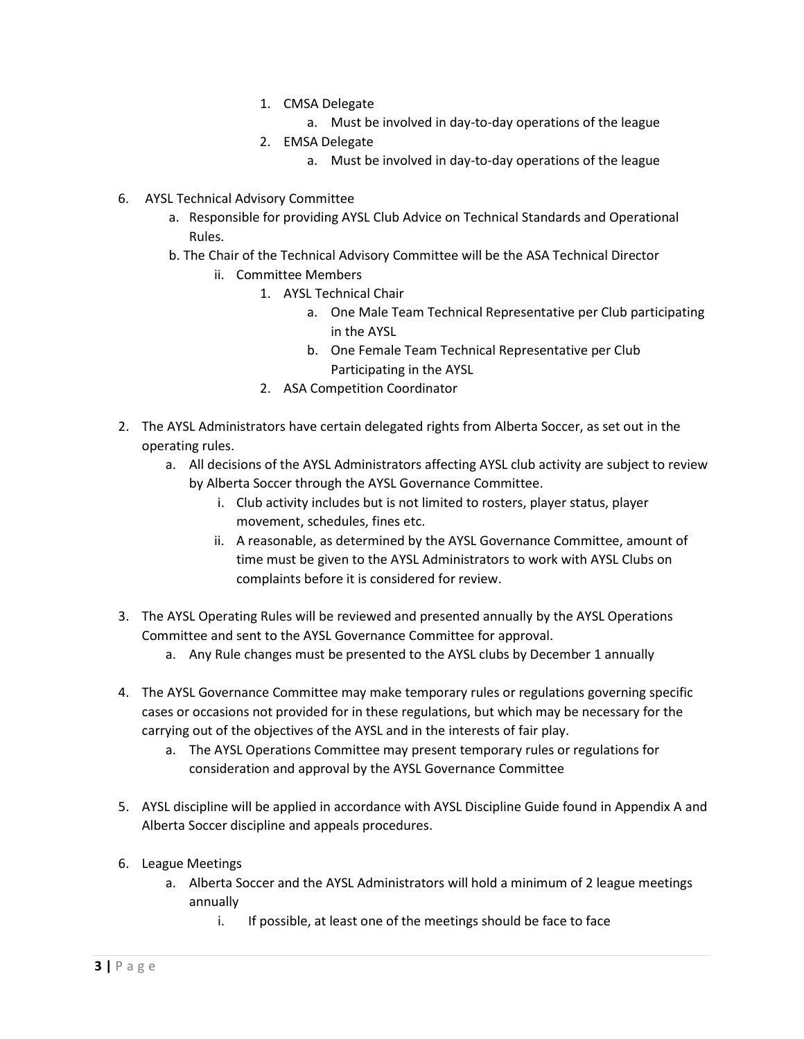- 1. CMSA Delegate
	- a. Must be involved in day-to-day operations of the league
- 2. EMSA Delegate
	- a. Must be involved in day-to-day operations of the league
- 6. AYSL Technical Advisory Committee
	- a. Responsible for providing AYSL Club Advice on Technical Standards and Operational Rules.
	- b. The Chair of the Technical Advisory Committee will be the ASA Technical Director
		- ii. Committee Members
			- 1. AYSL Technical Chair
				- a. One Male Team Technical Representative per Club participating in the AYSL
				- b. One Female Team Technical Representative per Club Participating in the AYSL
			- 2. ASA Competition Coordinator
- 2. The AYSL Administrators have certain delegated rights from Alberta Soccer, as set out in the operating rules.
	- a. All decisions of the AYSL Administrators affecting AYSL club activity are subject to review by Alberta Soccer through the AYSL Governance Committee.
		- i. Club activity includes but is not limited to rosters, player status, player movement, schedules, fines etc.
		- ii. A reasonable, as determined by the AYSL Governance Committee, amount of time must be given to the AYSL Administrators to work with AYSL Clubs on complaints before it is considered for review.
- 3. The AYSL Operating Rules will be reviewed and presented annually by the AYSL Operations Committee and sent to the AYSL Governance Committee for approval.
	- a. Any Rule changes must be presented to the AYSL clubs by December 1 annually
- 4. The AYSL Governance Committee may make temporary rules or regulations governing specific cases or occasions not provided for in these regulations, but which may be necessary for the carrying out of the objectives of the AYSL and in the interests of fair play.
	- a. The AYSL Operations Committee may present temporary rules or regulations for consideration and approval by the AYSL Governance Committee
- 5. AYSL discipline will be applied in accordance with AYSL Discipline Guide found in Appendix A and Alberta Soccer discipline and appeals procedures.
- 6. League Meetings
	- a. Alberta Soccer and the AYSL Administrators will hold a minimum of 2 league meetings annually
		- i. If possible, at least one of the meetings should be face to face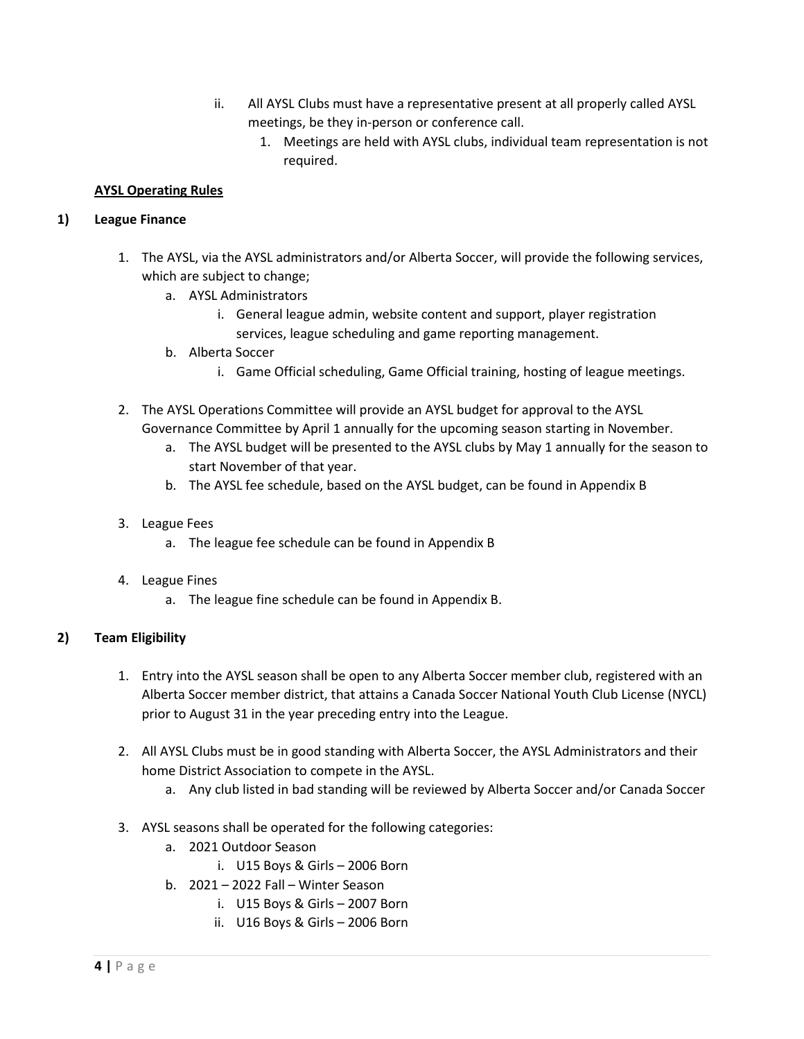- ii. All AYSL Clubs must have a representative present at all properly called AYSL meetings, be they in-person or conference call.
	- 1. Meetings are held with AYSL clubs, individual team representation is not required.

# **AYSL Operating Rules**

# **1) League Finance**

- 1. The AYSL, via the AYSL administrators and/or Alberta Soccer, will provide the following services, which are subject to change;
	- a. AYSL Administrators
		- i. General league admin, website content and support, player registration services, league scheduling and game reporting management.
	- b. Alberta Soccer
		- i. Game Official scheduling, Game Official training, hosting of league meetings.
- 2. The AYSL Operations Committee will provide an AYSL budget for approval to the AYSL Governance Committee by April 1 annually for the upcoming season starting in November.
	- a. The AYSL budget will be presented to the AYSL clubs by May 1 annually for the season to start November of that year.
	- b. The AYSL fee schedule, based on the AYSL budget, can be found in Appendix B
- 3. League Fees
	- a. The league fee schedule can be found in Appendix B
- 4. League Fines
	- a. The league fine schedule can be found in Appendix B.

# **2) Team Eligibility**

- 1. Entry into the AYSL season shall be open to any Alberta Soccer member club, registered with an Alberta Soccer member district, that attains a Canada Soccer National Youth Club License (NYCL) prior to August 31 in the year preceding entry into the League.
- 2. All AYSL Clubs must be in good standing with Alberta Soccer, the AYSL Administrators and their home District Association to compete in the AYSL.
	- a. Any club listed in bad standing will be reviewed by Alberta Soccer and/or Canada Soccer
- 3. AYSL seasons shall be operated for the following categories:
	- a. 2021 Outdoor Season
		- i. U15 Boys & Girls 2006 Born
	- b. 2021 2022 Fall Winter Season
		- i. U15 Boys & Girls 2007 Born
		- ii. U16 Boys & Girls 2006 Born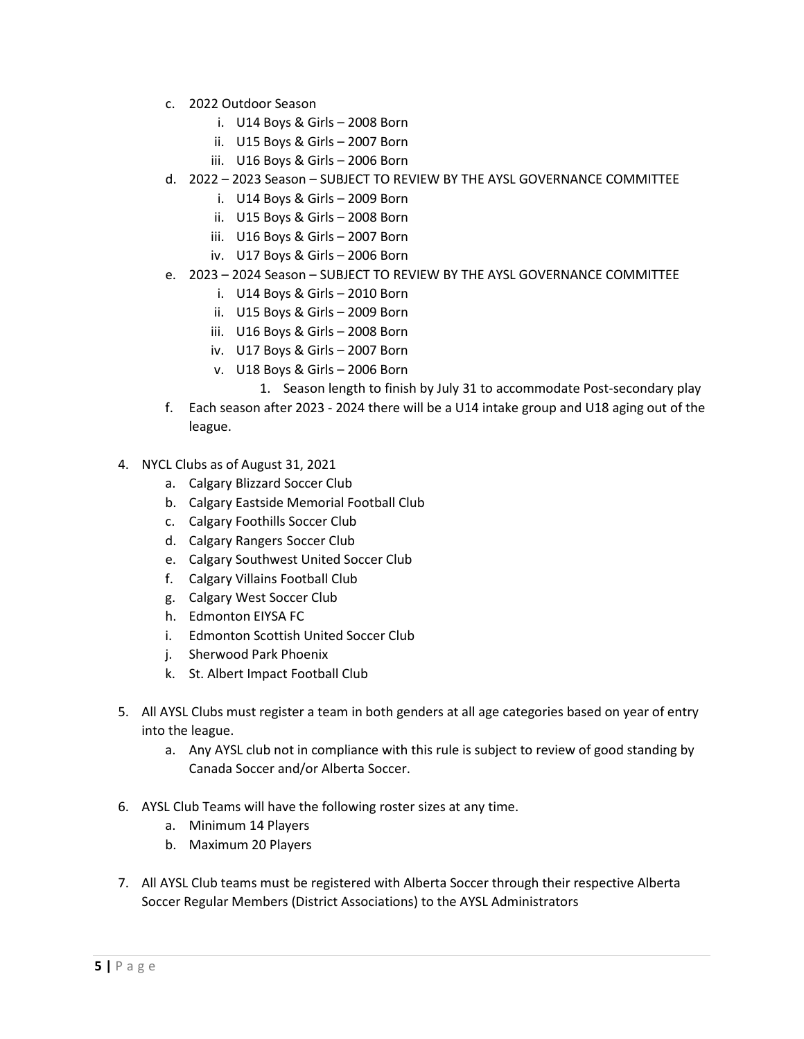- c. 2022 Outdoor Season
	- i. U14 Boys & Girls 2008 Born
	- ii. U15 Boys & Girls 2007 Born
	- iii. U16 Boys & Girls 2006 Born
- d. 2022 2023 Season SUBJECT TO REVIEW BY THE AYSL GOVERNANCE COMMITTEE
	- i. U14 Boys & Girls 2009 Born
	- ii. U15 Boys & Girls 2008 Born
	- iii. U16 Boys & Girls 2007 Born
	- iv. U17 Boys & Girls 2006 Born
- e. 2023 2024 Season SUBJECT TO REVIEW BY THE AYSL GOVERNANCE COMMITTEE
	- i. U14 Boys & Girls 2010 Born
	- ii. U15 Boys & Girls 2009 Born
	- iii. U16 Boys & Girls 2008 Born
	- iv. U17 Boys & Girls 2007 Born
	- v. U18 Boys & Girls 2006 Born
		- 1. Season length to finish by July 31 to accommodate Post-secondary play
- f. Each season after 2023 2024 there will be a U14 intake group and U18 aging out of the league.
- 4. NYCL Clubs as of August 31, 2021
	- a. Calgary Blizzard Soccer Club
	- b. Calgary Eastside Memorial Football Club
	- c. Calgary Foothills Soccer Club
	- d. Calgary Rangers Soccer Club
	- e. Calgary Southwest United Soccer Club
	- f. Calgary Villains Football Club
	- g. Calgary West Soccer Club
	- h. Edmonton EIYSA FC
	- i. Edmonton Scottish United Soccer Club
	- j. Sherwood Park Phoenix
	- k. St. Albert Impact Football Club
- 5. All AYSL Clubs must register a team in both genders at all age categories based on year of entry into the league.
	- a. Any AYSL club not in compliance with this rule is subject to review of good standing by Canada Soccer and/or Alberta Soccer.
- 6. AYSL Club Teams will have the following roster sizes at any time.
	- a. Minimum 14 Players
	- b. Maximum 20 Players
- 7. All AYSL Club teams must be registered with Alberta Soccer through their respective Alberta Soccer Regular Members (District Associations) to the AYSL Administrators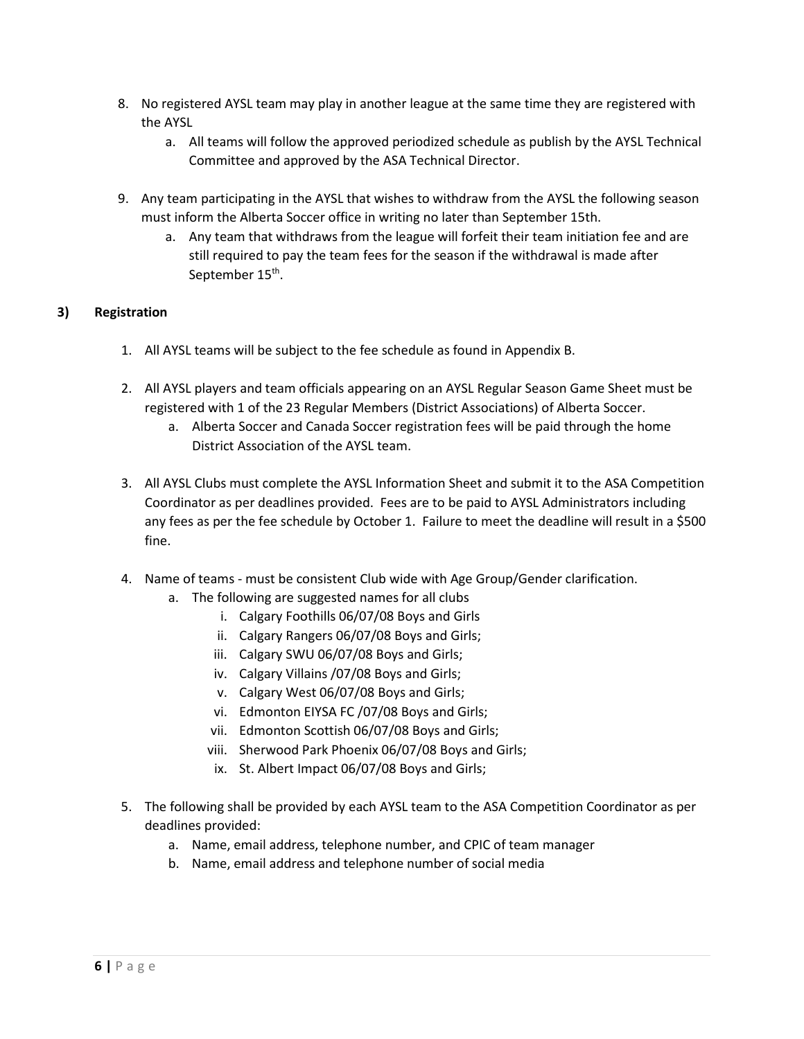- 8. No registered AYSL team may play in another league at the same time they are registered with the AYSL
	- a. All teams will follow the approved periodized schedule as publish by the AYSL Technical Committee and approved by the ASA Technical Director.
- 9. Any team participating in the AYSL that wishes to withdraw from the AYSL the following season must inform the Alberta Soccer office in writing no later than September 15th.
	- a. Any team that withdraws from the league will forfeit their team initiation fee and are still required to pay the team fees for the season if the withdrawal is made after September 15<sup>th</sup>.

# **3) Registration**

- 1. All AYSL teams will be subject to the fee schedule as found in Appendix B.
- 2. All AYSL players and team officials appearing on an AYSL Regular Season Game Sheet must be registered with 1 of the 23 Regular Members (District Associations) of Alberta Soccer.
	- a. Alberta Soccer and Canada Soccer registration fees will be paid through the home District Association of the AYSL team.
- 3. All AYSL Clubs must complete the AYSL Information Sheet and submit it to the ASA Competition Coordinator as per deadlines provided. Fees are to be paid to AYSL Administrators including any fees as per the fee schedule by October 1. Failure to meet the deadline will result in a \$500 fine.
- 4. Name of teams must be consistent Club wide with Age Group/Gender clarification.
	- a. The following are suggested names for all clubs
		- i. Calgary Foothills 06/07/08 Boys and Girls
		- ii. Calgary Rangers 06/07/08 Boys and Girls;
		- iii. Calgary SWU 06/07/08 Boys and Girls;
		- iv. Calgary Villains /07/08 Boys and Girls;
		- v. Calgary West 06/07/08 Boys and Girls;
		- vi. Edmonton EIYSA FC /07/08 Boys and Girls;
		- vii. Edmonton Scottish 06/07/08 Boys and Girls;
		- viii. Sherwood Park Phoenix 06/07/08 Boys and Girls;
		- ix. St. Albert Impact 06/07/08 Boys and Girls;
- 5. The following shall be provided by each AYSL team to the ASA Competition Coordinator as per deadlines provided:
	- a. Name, email address, telephone number, and CPIC of team manager
	- b. Name, email address and telephone number of social media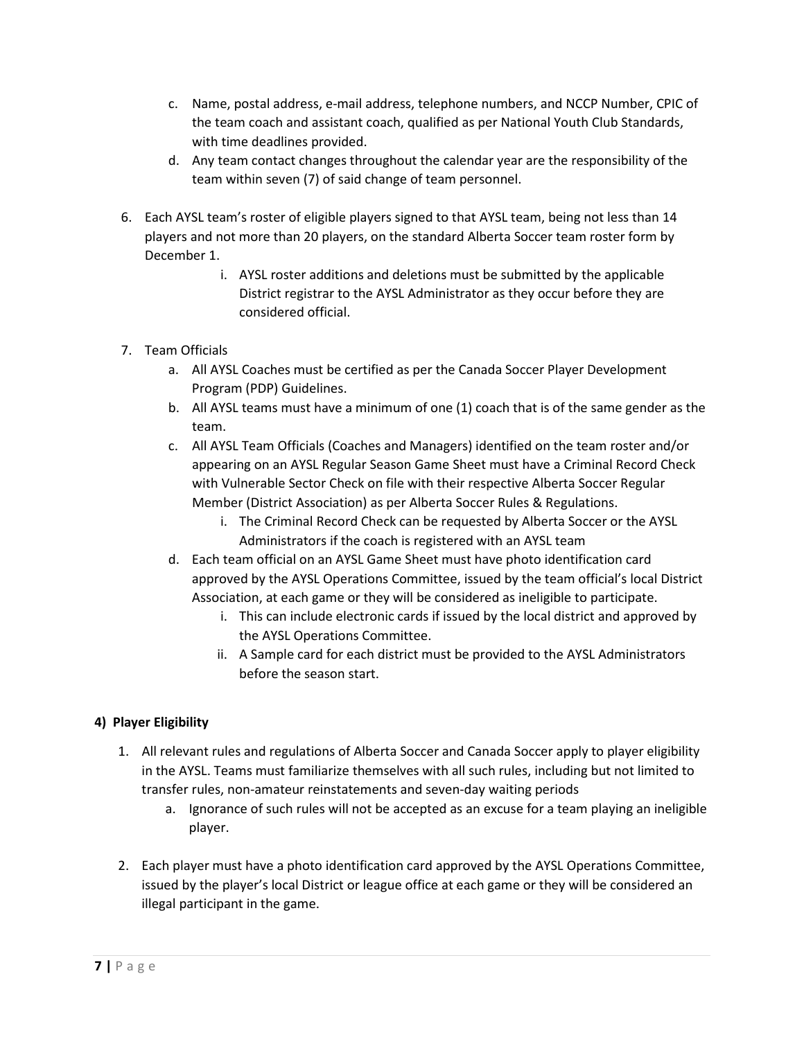- c. Name, postal address, e-mail address, telephone numbers, and NCCP Number, CPIC of the team coach and assistant coach, qualified as per National Youth Club Standards, with time deadlines provided.
- d. Any team contact changes throughout the calendar year are the responsibility of the team within seven (7) of said change of team personnel.
- 6. Each AYSL team's roster of eligible players signed to that AYSL team, being not less than 14 players and not more than 20 players, on the standard Alberta Soccer team roster form by December 1.
	- i. AYSL roster additions and deletions must be submitted by the applicable District registrar to the AYSL Administrator as they occur before they are considered official.
- 7. Team Officials
	- a. All AYSL Coaches must be certified as per the Canada Soccer Player Development Program (PDP) Guidelines.
	- b. All AYSL teams must have a minimum of one (1) coach that is of the same gender as the team.
	- c. All AYSL Team Officials (Coaches and Managers) identified on the team roster and/or appearing on an AYSL Regular Season Game Sheet must have a Criminal Record Check with Vulnerable Sector Check on file with their respective Alberta Soccer Regular Member (District Association) as per Alberta Soccer Rules & Regulations.
		- i. The Criminal Record Check can be requested by Alberta Soccer or the AYSL Administrators if the coach is registered with an AYSL team
	- d. Each team official on an AYSL Game Sheet must have photo identification card approved by the AYSL Operations Committee, issued by the team official's local District Association, at each game or they will be considered as ineligible to participate.
		- i. This can include electronic cards if issued by the local district and approved by the AYSL Operations Committee.
		- ii. A Sample card for each district must be provided to the AYSL Administrators before the season start.

# **4) Player Eligibility**

- 1. All relevant rules and regulations of Alberta Soccer and Canada Soccer apply to player eligibility in the AYSL. Teams must familiarize themselves with all such rules, including but not limited to transfer rules, non-amateur reinstatements and seven-day waiting periods
	- a. Ignorance of such rules will not be accepted as an excuse for a team playing an ineligible player.
- 2. Each player must have a photo identification card approved by the AYSL Operations Committee, issued by the player's local District or league office at each game or they will be considered an illegal participant in the game.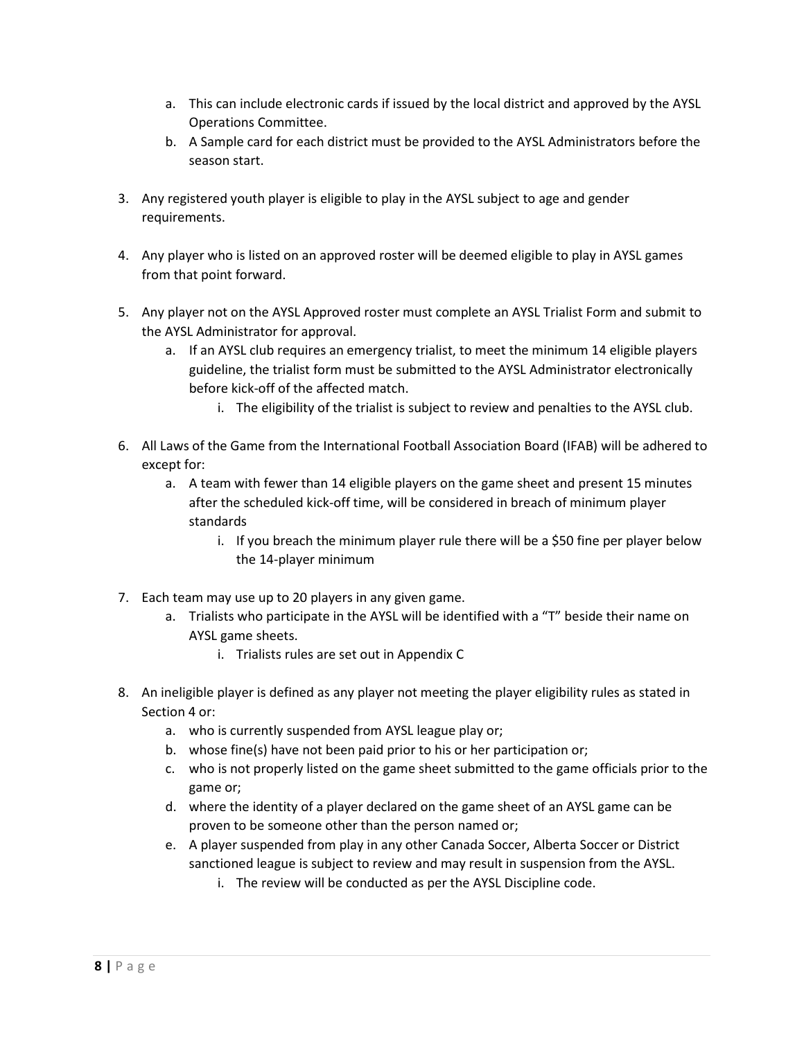- a. This can include electronic cards if issued by the local district and approved by the AYSL Operations Committee.
- b. A Sample card for each district must be provided to the AYSL Administrators before the season start.
- 3. Any registered youth player is eligible to play in the AYSL subject to age and gender requirements.
- 4. Any player who is listed on an approved roster will be deemed eligible to play in AYSL games from that point forward.
- 5. Any player not on the AYSL Approved roster must complete an AYSL Trialist Form and submit to the AYSL Administrator for approval.
	- a. If an AYSL club requires an emergency trialist, to meet the minimum 14 eligible players guideline, the trialist form must be submitted to the AYSL Administrator electronically before kick-off of the affected match.
		- i. The eligibility of the trialist is subject to review and penalties to the AYSL club.
- 6. All Laws of the Game from the International Football Association Board (IFAB) will be adhered to except for:
	- a. A team with fewer than 14 eligible players on the game sheet and present 15 minutes after the scheduled kick-off time, will be considered in breach of minimum player standards
		- i. If you breach the minimum player rule there will be a \$50 fine per player below the 14-player minimum
- 7. Each team may use up to 20 players in any given game.
	- a. Trialists who participate in the AYSL will be identified with a "T" beside their name on AYSL game sheets.
		- i. Trialists rules are set out in Appendix C
- 8. An ineligible player is defined as any player not meeting the player eligibility rules as stated in Section 4 or:
	- a. who is currently suspended from AYSL league play or;
	- b. whose fine(s) have not been paid prior to his or her participation or;
	- c. who is not properly listed on the game sheet submitted to the game officials prior to the game or;
	- d. where the identity of a player declared on the game sheet of an AYSL game can be proven to be someone other than the person named or;
	- e. A player suspended from play in any other Canada Soccer, Alberta Soccer or District sanctioned league is subject to review and may result in suspension from the AYSL.
		- i. The review will be conducted as per the AYSL Discipline code.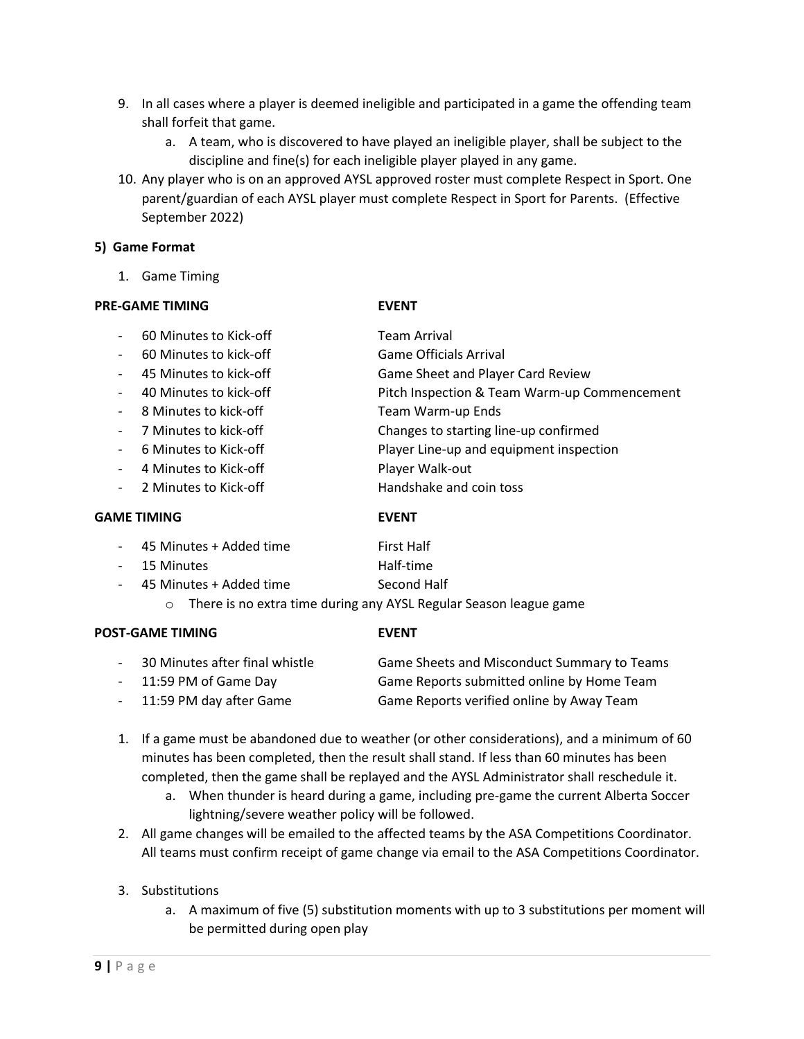- 9. In all cases where a player is deemed ineligible and participated in a game the offending team shall forfeit that game.
	- a. A team, who is discovered to have played an ineligible player, shall be subject to the discipline and fine(s) for each ineligible player played in any game.
- 10. Any player who is on an approved AYSL approved roster must complete Respect in Sport. One parent/guardian of each AYSL player must complete Respect in Sport for Parents. (Effective September 2022)

#### **5) Game Format**

1. Game Timing

#### **PRE-GAME TIMING EVENT**

- 60 Minutes to Kick-off **Team Arrival** - 60 Minutes to kick-off Game Officials Arrival - 45 Minutes to kick-off Game Sheet and Player Card Review - 40 Minutes to kick-off Pitch Inspection & Team Warm-up Commencement - 8 Minutes to kick-off Team Warm-up Ends 7 Minutes to kick-off Changes to starting line-up confirmed - 6 Minutes to Kick-off **Player Line-up and equipment inspection** - 4 Minutes to Kick-off Player Walk-out - 2 Minutes to Kick-off **Handshake and coin toss** 

#### **GAME TIMING EVENT**

| - 45 Minutes + Added time | First Half                                                        |
|---------------------------|-------------------------------------------------------------------|
| - 15 Minutes              | Half-time                                                         |
| - 45 Minutes + Added time | Second Half                                                       |
| $\cap$                    | There is no extra time during any AYSL Regular Season league game |

#### **POST-GAME TIMING EVENT**

| 30 Minutes after final whistle | Game Sheets and Misconduct Summary to Teams |
|--------------------------------|---------------------------------------------|
| - 11:59 PM of Game Day         | Game Reports submitted online by Home Team  |
| - 11:59 PM day after Game      | Game Reports verified online by Away Team   |

- 1. If a game must be abandoned due to weather (or other considerations), and a minimum of 60 minutes has been completed, then the result shall stand. If less than 60 minutes has been completed, then the game shall be replayed and the AYSL Administrator shall reschedule it.
	- a. When thunder is heard during a game, including pre-game the current Alberta Soccer lightning/severe weather policy will be followed.
- 2. All game changes will be emailed to the affected teams by the ASA Competitions Coordinator. All teams must confirm receipt of game change via email to the ASA Competitions Coordinator.

# 3. Substitutions

a. A maximum of five (5) substitution moments with up to 3 substitutions per moment will be permitted during open play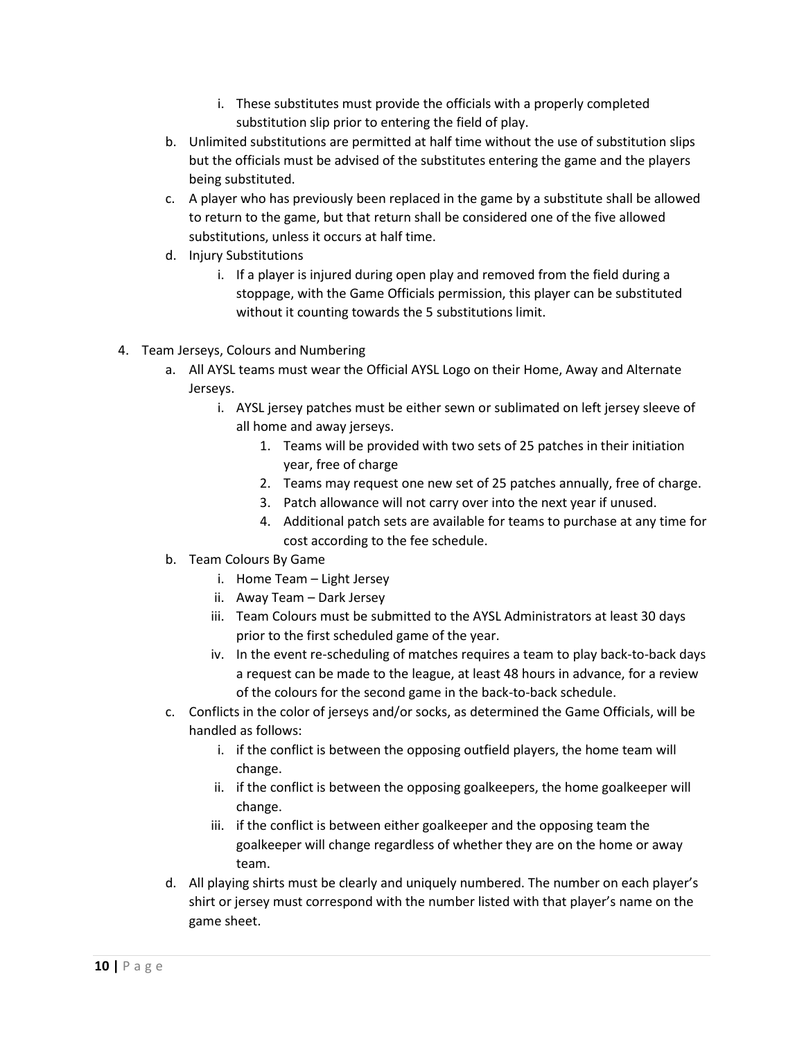- i. These substitutes must provide the officials with a properly completed substitution slip prior to entering the field of play.
- b. Unlimited substitutions are permitted at half time without the use of substitution slips but the officials must be advised of the substitutes entering the game and the players being substituted.
- c. A player who has previously been replaced in the game by a substitute shall be allowed to return to the game, but that return shall be considered one of the five allowed substitutions, unless it occurs at half time.
- d. Injury Substitutions
	- i. If a player is injured during open play and removed from the field during a stoppage, with the Game Officials permission, this player can be substituted without it counting towards the 5 substitutions limit.
- 4. Team Jerseys, Colours and Numbering
	- a. All AYSL teams must wear the Official AYSL Logo on their Home, Away and Alternate Jerseys.
		- i. AYSL jersey patches must be either sewn or sublimated on left jersey sleeve of all home and away jerseys.
			- 1. Teams will be provided with two sets of 25 patches in their initiation year, free of charge
			- 2. Teams may request one new set of 25 patches annually, free of charge.
			- 3. Patch allowance will not carry over into the next year if unused.
			- 4. Additional patch sets are available for teams to purchase at any time for cost according to the fee schedule.
	- b. Team Colours By Game
		- i. Home Team Light Jersey
		- ii. Away Team Dark Jersey
		- iii. Team Colours must be submitted to the AYSL Administrators at least 30 days prior to the first scheduled game of the year.
		- iv. In the event re-scheduling of matches requires a team to play back-to-back days a request can be made to the league, at least 48 hours in advance, for a review of the colours for the second game in the back-to-back schedule.
	- c. Conflicts in the color of jerseys and/or socks, as determined the Game Officials, will be handled as follows:
		- i. if the conflict is between the opposing outfield players, the home team will change.
		- ii. if the conflict is between the opposing goalkeepers, the home goalkeeper will change.
		- iii. if the conflict is between either goalkeeper and the opposing team the goalkeeper will change regardless of whether they are on the home or away team.
	- d. All playing shirts must be clearly and uniquely numbered. The number on each player's shirt or jersey must correspond with the number listed with that player's name on the game sheet.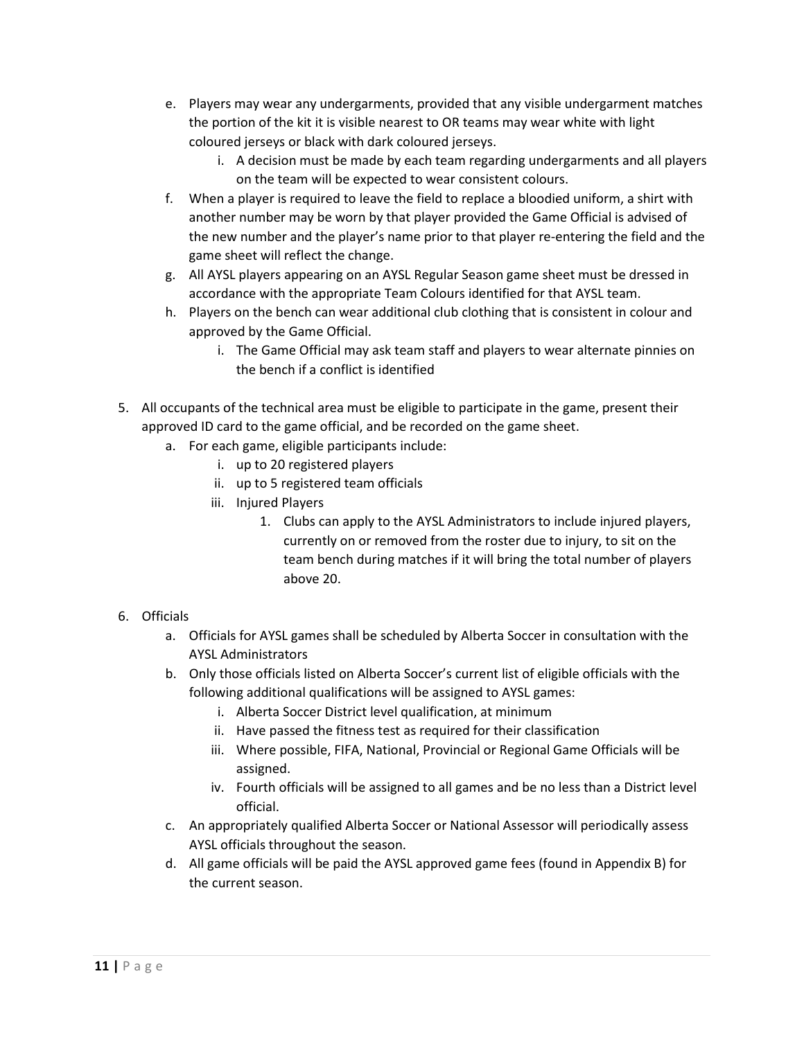- e. Players may wear any undergarments, provided that any visible undergarment matches the portion of the kit it is visible nearest to OR teams may wear white with light coloured jerseys or black with dark coloured jerseys.
	- i. A decision must be made by each team regarding undergarments and all players on the team will be expected to wear consistent colours.
- f. When a player is required to leave the field to replace a bloodied uniform, a shirt with another number may be worn by that player provided the Game Official is advised of the new number and the player's name prior to that player re-entering the field and the game sheet will reflect the change.
- g. All AYSL players appearing on an AYSL Regular Season game sheet must be dressed in accordance with the appropriate Team Colours identified for that AYSL team.
- h. Players on the bench can wear additional club clothing that is consistent in colour and approved by the Game Official.
	- i. The Game Official may ask team staff and players to wear alternate pinnies on the bench if a conflict is identified
- 5. All occupants of the technical area must be eligible to participate in the game, present their approved ID card to the game official, and be recorded on the game sheet.
	- a. For each game, eligible participants include:
		- i. up to 20 registered players
		- ii. up to 5 registered team officials
		- iii. Injured Players
			- 1. Clubs can apply to the AYSL Administrators to include injured players, currently on or removed from the roster due to injury, to sit on the team bench during matches if it will bring the total number of players above 20.
- 6. Officials
	- a. Officials for AYSL games shall be scheduled by Alberta Soccer in consultation with the AYSL Administrators
	- b. Only those officials listed on Alberta Soccer's current list of eligible officials with the following additional qualifications will be assigned to AYSL games:
		- i. Alberta Soccer District level qualification, at minimum
		- ii. Have passed the fitness test as required for their classification
		- iii. Where possible, FIFA, National, Provincial or Regional Game Officials will be assigned.
		- iv. Fourth officials will be assigned to all games and be no less than a District level official.
	- c. An appropriately qualified Alberta Soccer or National Assessor will periodically assess AYSL officials throughout the season.
	- d. All game officials will be paid the AYSL approved game fees (found in Appendix B) for the current season.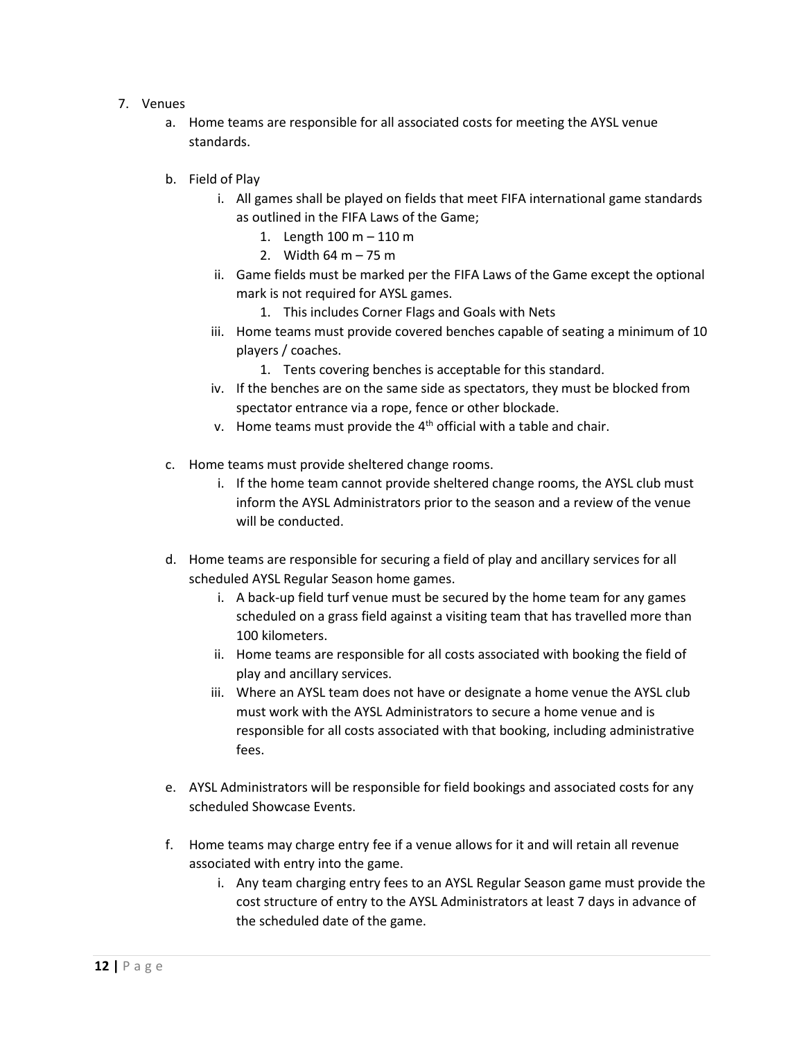- 7. Venues
	- a. Home teams are responsible for all associated costs for meeting the AYSL venue standards.
	- b. Field of Play
		- i. All games shall be played on fields that meet FIFA international game standards as outlined in the FIFA Laws of the Game;
			- 1. Length 100 m 110 m
			- 2. Width  $64 \text{ m} 75 \text{ m}$
		- ii. Game fields must be marked per the FIFA Laws of the Game except the optional mark is not required for AYSL games.
			- 1. This includes Corner Flags and Goals with Nets
		- iii. Home teams must provide covered benches capable of seating a minimum of 10 players / coaches.
			- 1. Tents covering benches is acceptable for this standard.
		- iv. If the benches are on the same side as spectators, they must be blocked from spectator entrance via a rope, fence or other blockade.
		- v. Home teams must provide the  $4<sup>th</sup>$  official with a table and chair.
	- c. Home teams must provide sheltered change rooms.
		- i. If the home team cannot provide sheltered change rooms, the AYSL club must inform the AYSL Administrators prior to the season and a review of the venue will be conducted.
	- d. Home teams are responsible for securing a field of play and ancillary services for all scheduled AYSL Regular Season home games.
		- i. A back-up field turf venue must be secured by the home team for any games scheduled on a grass field against a visiting team that has travelled more than 100 kilometers.
		- ii. Home teams are responsible for all costs associated with booking the field of play and ancillary services.
		- iii. Where an AYSL team does not have or designate a home venue the AYSL club must work with the AYSL Administrators to secure a home venue and is responsible for all costs associated with that booking, including administrative fees.
	- e. AYSL Administrators will be responsible for field bookings and associated costs for any scheduled Showcase Events.
	- f. Home teams may charge entry fee if a venue allows for it and will retain all revenue associated with entry into the game.
		- i. Any team charging entry fees to an AYSL Regular Season game must provide the cost structure of entry to the AYSL Administrators at least 7 days in advance of the scheduled date of the game.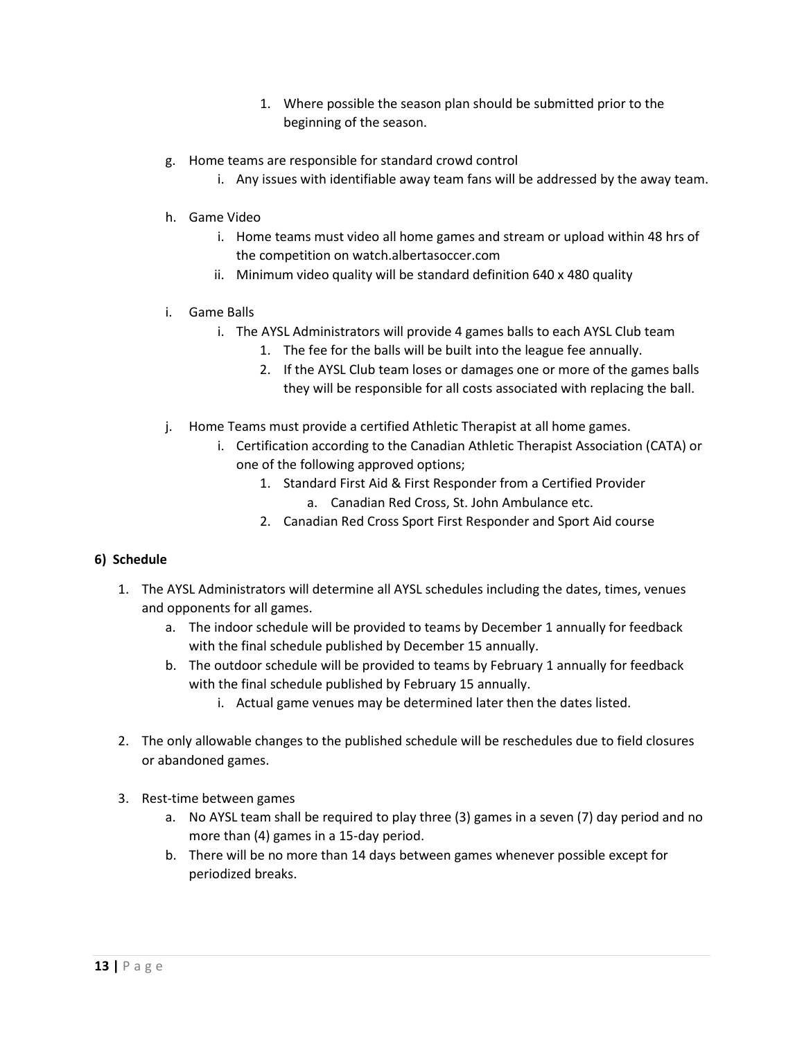- 1. Where possible the season plan should be submitted prior to the beginning of the season.
- g. Home teams are responsible for standard crowd control
	- i. Any issues with identifiable away team fans will be addressed by the away team.
- h. Game Video
	- i. Home teams must video all home games and stream or upload within 48 hrs of the competition on watch.albertasoccer.com
	- ii. Minimum video quality will be standard definition 640 x 480 quality
- i. Game Balls
	- i. The AYSL Administrators will provide 4 games balls to each AYSL Club team
		- 1. The fee for the balls will be built into the league fee annually.
		- 2. If the AYSL Club team loses or damages one or more of the games balls they will be responsible for all costs associated with replacing the ball.
- j. Home Teams must provide a certified Athletic Therapist at all home games.
	- i. Certification according to the Canadian Athletic Therapist Association (CATA) or one of the following approved options;
		- 1. Standard First Aid & First Responder from a Certified Provider
			- a. Canadian Red Cross, St. John Ambulance etc.
		- 2. Canadian Red Cross Sport First Responder and Sport Aid course

#### **6) Schedule**

- 1. The AYSL Administrators will determine all AYSL schedules including the dates, times, venues and opponents for all games.
	- a. The indoor schedule will be provided to teams by December 1 annually for feedback with the final schedule published by December 15 annually.
	- b. The outdoor schedule will be provided to teams by February 1 annually for feedback with the final schedule published by February 15 annually.
		- i. Actual game venues may be determined later then the dates listed.
- 2. The only allowable changes to the published schedule will be reschedules due to field closures or abandoned games.
- 3. Rest-time between games
	- a. No AYSL team shall be required to play three (3) games in a seven (7) day period and no more than (4) games in a 15-day period.
	- b. There will be no more than 14 days between games whenever possible except for periodized breaks.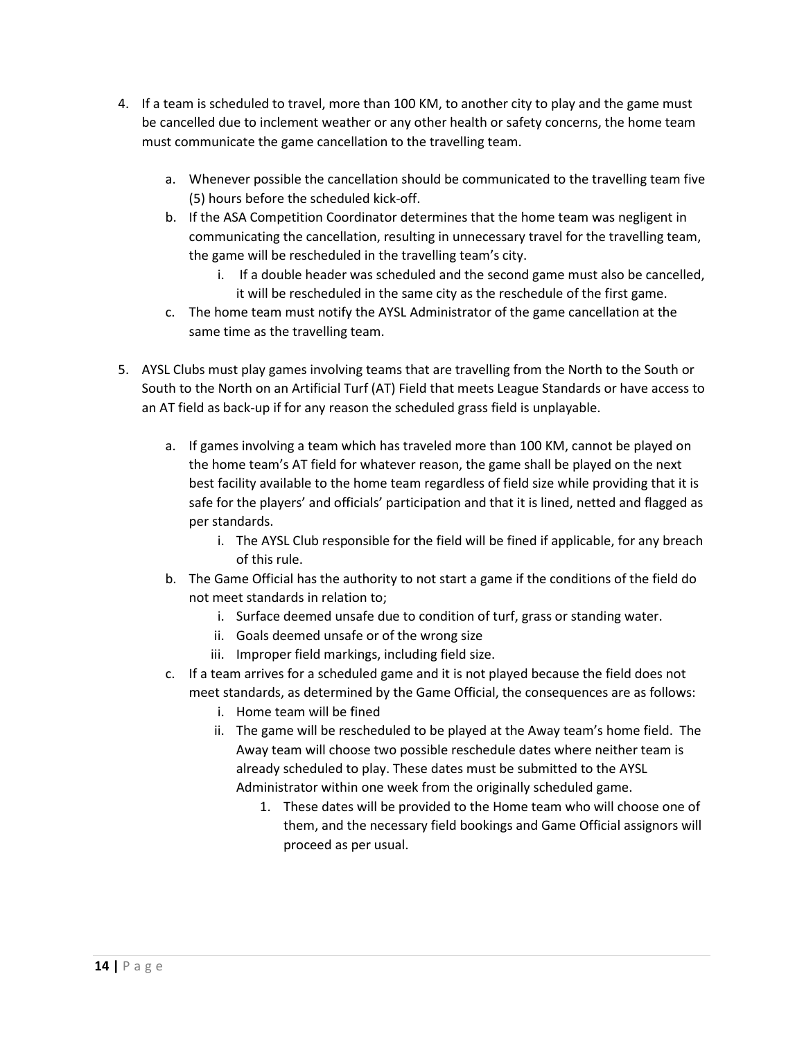- 4. If a team is scheduled to travel, more than 100 KM, to another city to play and the game must be cancelled due to inclement weather or any other health or safety concerns, the home team must communicate the game cancellation to the travelling team.
	- a. Whenever possible the cancellation should be communicated to the travelling team five (5) hours before the scheduled kick-off.
	- b. If the ASA Competition Coordinator determines that the home team was negligent in communicating the cancellation, resulting in unnecessary travel for the travelling team, the game will be rescheduled in the travelling team's city.
		- i. If a double header was scheduled and the second game must also be cancelled, it will be rescheduled in the same city as the reschedule of the first game.
	- c. The home team must notify the AYSL Administrator of the game cancellation at the same time as the travelling team.
- 5. AYSL Clubs must play games involving teams that are travelling from the North to the South or South to the North on an Artificial Turf (AT) Field that meets League Standards or have access to an AT field as back-up if for any reason the scheduled grass field is unplayable.
	- a. If games involving a team which has traveled more than 100 KM, cannot be played on the home team's AT field for whatever reason, the game shall be played on the next best facility available to the home team regardless of field size while providing that it is safe for the players' and officials' participation and that it is lined, netted and flagged as per standards.
		- i. The AYSL Club responsible for the field will be fined if applicable, for any breach of this rule.
	- b. The Game Official has the authority to not start a game if the conditions of the field do not meet standards in relation to;
		- i. Surface deemed unsafe due to condition of turf, grass or standing water.
		- ii. Goals deemed unsafe or of the wrong size
		- iii. Improper field markings, including field size.
	- c. If a team arrives for a scheduled game and it is not played because the field does not meet standards, as determined by the Game Official, the consequences are as follows:
		- i. Home team will be fined
		- ii. The game will be rescheduled to be played at the Away team's home field. The Away team will choose two possible reschedule dates where neither team is already scheduled to play. These dates must be submitted to the AYSL Administrator within one week from the originally scheduled game.
			- 1. These dates will be provided to the Home team who will choose one of them, and the necessary field bookings and Game Official assignors will proceed as per usual.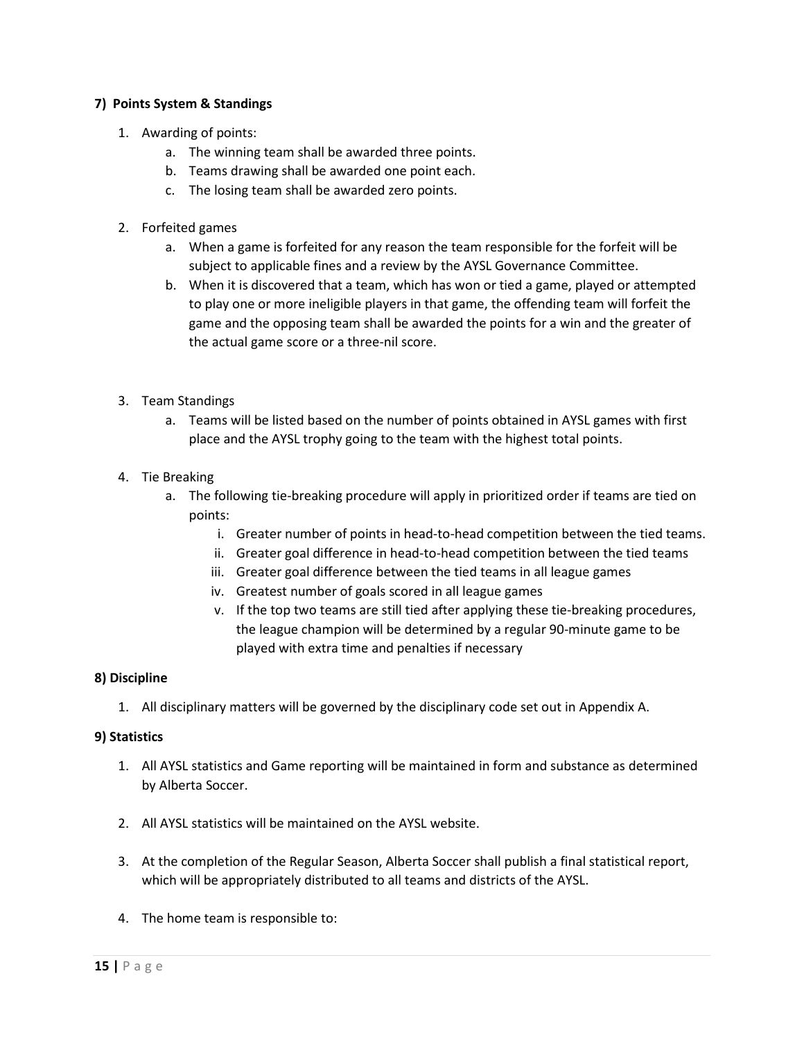### **7) Points System & Standings**

- 1. Awarding of points:
	- a. The winning team shall be awarded three points.
	- b. Teams drawing shall be awarded one point each.
	- c. The losing team shall be awarded zero points.
- 2. Forfeited games
	- a. When a game is forfeited for any reason the team responsible for the forfeit will be subject to applicable fines and a review by the AYSL Governance Committee.
	- b. When it is discovered that a team, which has won or tied a game, played or attempted to play one or more ineligible players in that game, the offending team will forfeit the game and the opposing team shall be awarded the points for a win and the greater of the actual game score or a three-nil score.
- 3. Team Standings
	- a. Teams will be listed based on the number of points obtained in AYSL games with first place and the AYSL trophy going to the team with the highest total points.
- 4. Tie Breaking
	- a. The following tie-breaking procedure will apply in prioritized order if teams are tied on points:
		- i. Greater number of points in head-to-head competition between the tied teams.
		- ii. Greater goal difference in head-to-head competition between the tied teams
		- iii. Greater goal difference between the tied teams in all league games
		- iv. Greatest number of goals scored in all league games
		- v. If the top two teams are still tied after applying these tie-breaking procedures, the league champion will be determined by a regular 90-minute game to be played with extra time and penalties if necessary

#### **8) Discipline**

1. All disciplinary matters will be governed by the disciplinary code set out in Appendix A.

#### **9) Statistics**

- 1. All AYSL statistics and Game reporting will be maintained in form and substance as determined by Alberta Soccer.
- 2. All AYSL statistics will be maintained on the AYSL website.
- 3. At the completion of the Regular Season, Alberta Soccer shall publish a final statistical report, which will be appropriately distributed to all teams and districts of the AYSL.
- 4. The home team is responsible to: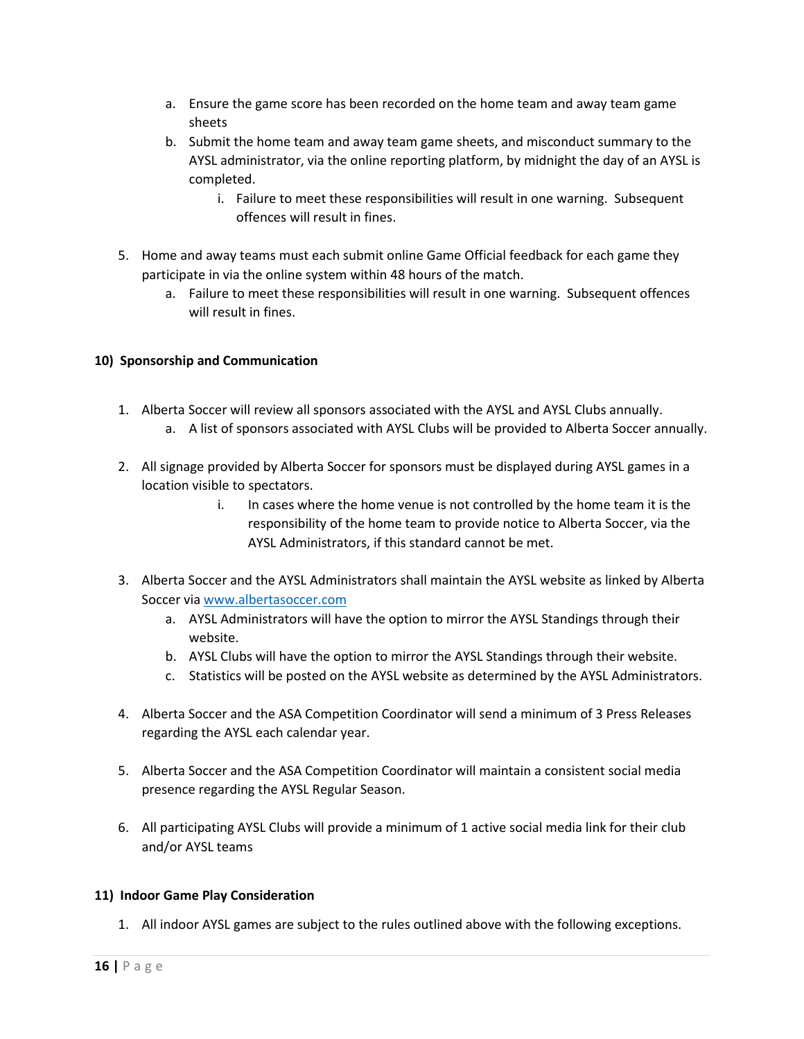- a. Ensure the game score has been recorded on the home team and away team game sheets
- b. Submit the home team and away team game sheets, and misconduct summary to the AYSL administrator, via the online reporting platform, by midnight the day of an AYSL is completed.
	- i. Failure to meet these responsibilities will result in one warning. Subsequent offences will result in fines.
- 5. Home and away teams must each submit online Game Official feedback for each game they participate in via the online system within 48 hours of the match.
	- a. Failure to meet these responsibilities will result in one warning. Subsequent offences will result in fines.

# **10) Sponsorship and Communication**

- 1. Alberta Soccer will review all sponsors associated with the AYSL and AYSL Clubs annually.
	- a. A list of sponsors associated with AYSL Clubs will be provided to Alberta Soccer annually.
- 2. All signage provided by Alberta Soccer for sponsors must be displayed during AYSL games in a location visible to spectators.
	- i. In cases where the home venue is not controlled by the home team it is the responsibility of the home team to provide notice to Alberta Soccer, via the AYSL Administrators, if this standard cannot be met.
- 3. Alberta Soccer and the AYSL Administrators shall maintain the AYSL website as linked by Alberta Soccer via [www.albertasoccer.com](http://www.albertasoccer.com/)
	- a. AYSL Administrators will have the option to mirror the AYSL Standings through their website.
	- b. AYSL Clubs will have the option to mirror the AYSL Standings through their website.
	- c. Statistics will be posted on the AYSL website as determined by the AYSL Administrators.
- 4. Alberta Soccer and the ASA Competition Coordinator will send a minimum of 3 Press Releases regarding the AYSL each calendar year.
- 5. Alberta Soccer and the ASA Competition Coordinator will maintain a consistent social media presence regarding the AYSL Regular Season.
- 6. All participating AYSL Clubs will provide a minimum of 1 active social media link for their club and/or AYSL teams

# **11) Indoor Game Play Consideration**

1. All indoor AYSL games are subject to the rules outlined above with the following exceptions.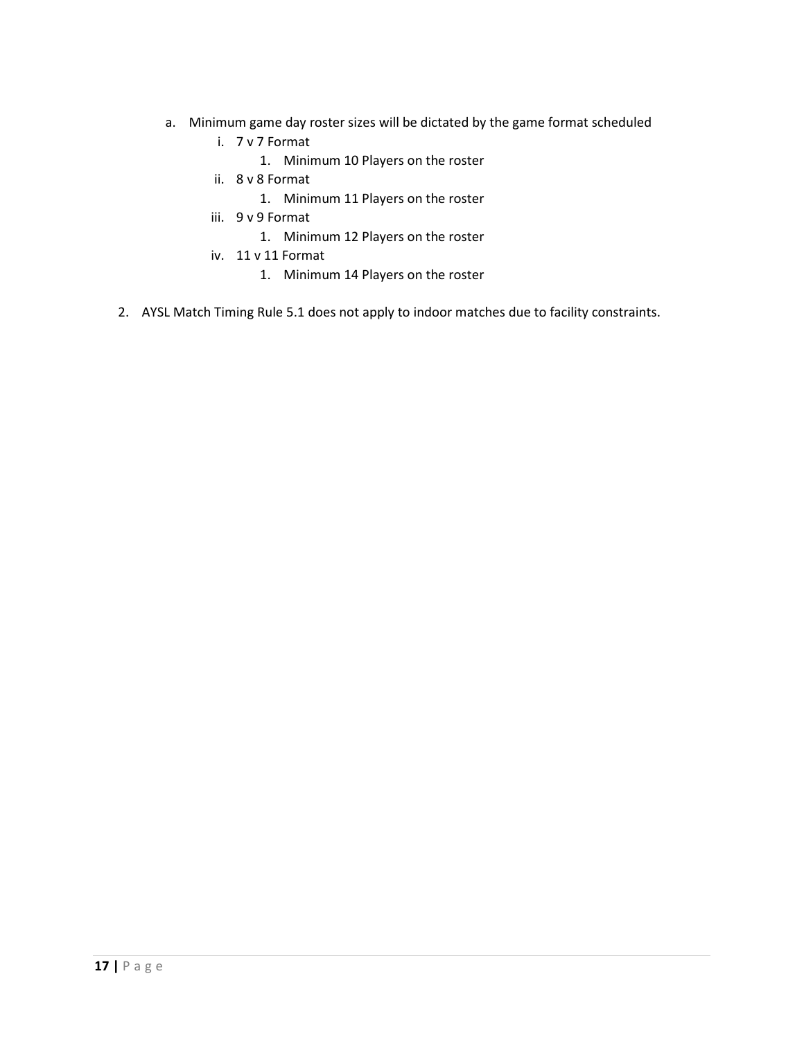- a. Minimum game day roster sizes will be dictated by the game format scheduled
	- i. 7 v 7 Format
		- 1. Minimum 10 Players on the roster
	- ii. 8 v 8 Format
		- 1. Minimum 11 Players on the roster
	- iii. 9 v 9 Format
		- 1. Minimum 12 Players on the roster
	- iv. 11 v 11 Format
		- 1. Minimum 14 Players on the roster
- 2. AYSL Match Timing Rule 5.1 does not apply to indoor matches due to facility constraints.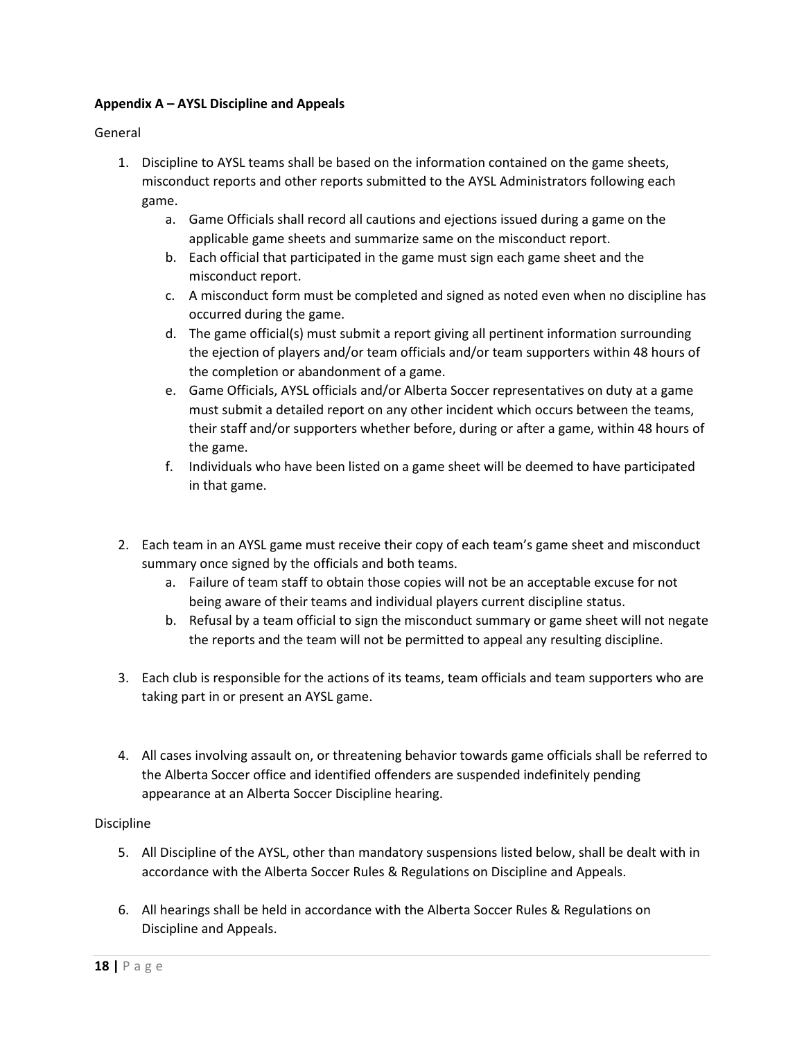## **Appendix A – AYSL Discipline and Appeals**

General

- 1. Discipline to AYSL teams shall be based on the information contained on the game sheets, misconduct reports and other reports submitted to the AYSL Administrators following each game.
	- a. Game Officials shall record all cautions and ejections issued during a game on the applicable game sheets and summarize same on the misconduct report.
	- b. Each official that participated in the game must sign each game sheet and the misconduct report.
	- c. A misconduct form must be completed and signed as noted even when no discipline has occurred during the game.
	- d. The game official(s) must submit a report giving all pertinent information surrounding the ejection of players and/or team officials and/or team supporters within 48 hours of the completion or abandonment of a game.
	- e. Game Officials, AYSL officials and/or Alberta Soccer representatives on duty at a game must submit a detailed report on any other incident which occurs between the teams, their staff and/or supporters whether before, during or after a game, within 48 hours of the game.
	- f. Individuals who have been listed on a game sheet will be deemed to have participated in that game.
- 2. Each team in an AYSL game must receive their copy of each team's game sheet and misconduct summary once signed by the officials and both teams.
	- a. Failure of team staff to obtain those copies will not be an acceptable excuse for not being aware of their teams and individual players current discipline status.
	- b. Refusal by a team official to sign the misconduct summary or game sheet will not negate the reports and the team will not be permitted to appeal any resulting discipline.
- 3. Each club is responsible for the actions of its teams, team officials and team supporters who are taking part in or present an AYSL game.
- 4. All cases involving assault on, or threatening behavior towards game officials shall be referred to the Alberta Soccer office and identified offenders are suspended indefinitely pending appearance at an Alberta Soccer Discipline hearing.

#### Discipline

- 5. All Discipline of the AYSL, other than mandatory suspensions listed below, shall be dealt with in accordance with the Alberta Soccer Rules & Regulations on Discipline and Appeals.
- 6. All hearings shall be held in accordance with the Alberta Soccer Rules & Regulations on Discipline and Appeals.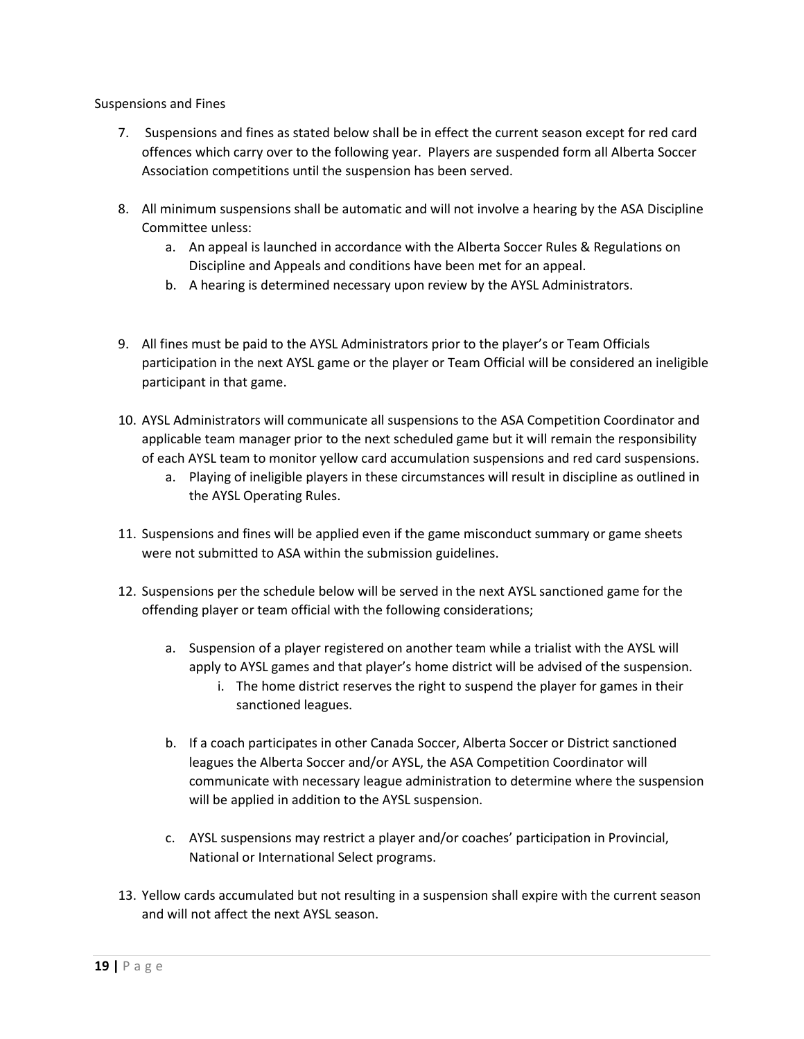Suspensions and Fines

- 7. Suspensions and fines as stated below shall be in effect the current season except for red card offences which carry over to the following year. Players are suspended form all Alberta Soccer Association competitions until the suspension has been served.
- 8. All minimum suspensions shall be automatic and will not involve a hearing by the ASA Discipline Committee unless:
	- a. An appeal is launched in accordance with the Alberta Soccer Rules & Regulations on Discipline and Appeals and conditions have been met for an appeal.
	- b. A hearing is determined necessary upon review by the AYSL Administrators.
- 9. All fines must be paid to the AYSL Administrators prior to the player's or Team Officials participation in the next AYSL game or the player or Team Official will be considered an ineligible participant in that game.
- 10. AYSL Administrators will communicate all suspensions to the ASA Competition Coordinator and applicable team manager prior to the next scheduled game but it will remain the responsibility of each AYSL team to monitor yellow card accumulation suspensions and red card suspensions.
	- a. Playing of ineligible players in these circumstances will result in discipline as outlined in the AYSL Operating Rules.
- 11. Suspensions and fines will be applied even if the game misconduct summary or game sheets were not submitted to ASA within the submission guidelines.
- 12. Suspensions per the schedule below will be served in the next AYSL sanctioned game for the offending player or team official with the following considerations;
	- a. Suspension of a player registered on another team while a trialist with the AYSL will apply to AYSL games and that player's home district will be advised of the suspension.
		- i. The home district reserves the right to suspend the player for games in their sanctioned leagues.
	- b. If a coach participates in other Canada Soccer, Alberta Soccer or District sanctioned leagues the Alberta Soccer and/or AYSL, the ASA Competition Coordinator will communicate with necessary league administration to determine where the suspension will be applied in addition to the AYSL suspension.
	- c. AYSL suspensions may restrict a player and/or coaches' participation in Provincial, National or International Select programs.
- 13. Yellow cards accumulated but not resulting in a suspension shall expire with the current season and will not affect the next AYSL season.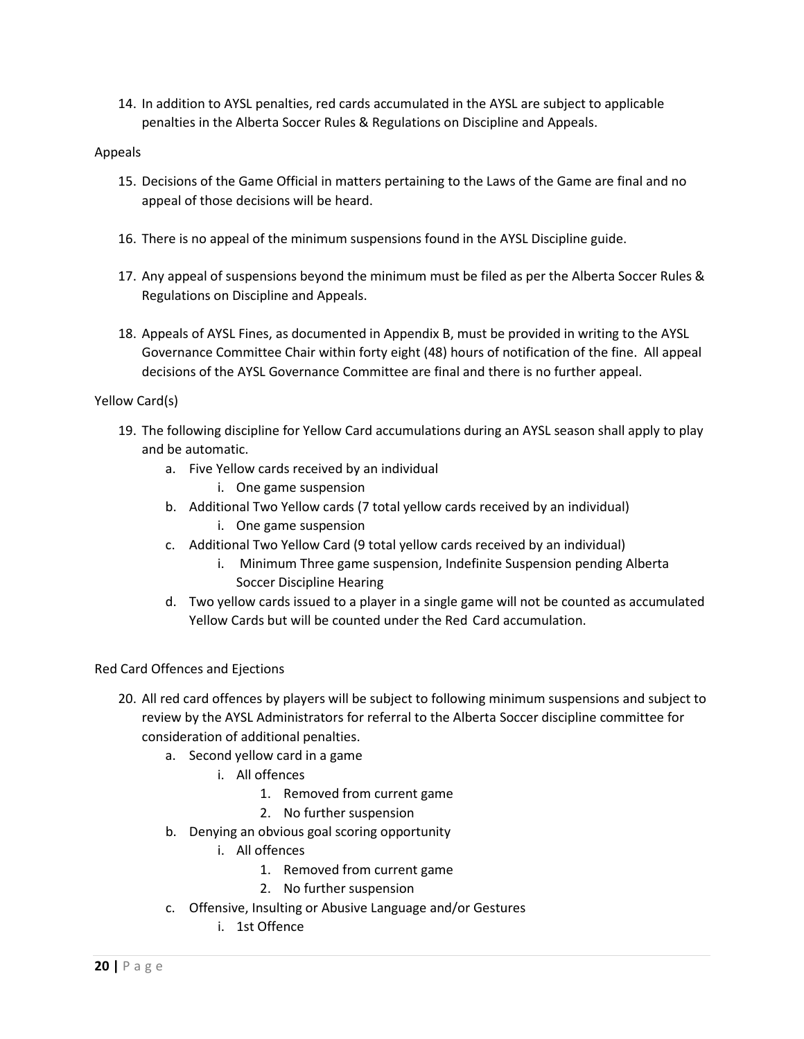14. In addition to AYSL penalties, red cards accumulated in the AYSL are subject to applicable penalties in the Alberta Soccer Rules & Regulations on Discipline and Appeals.

#### Appeals

- 15. Decisions of the Game Official in matters pertaining to the Laws of the Game are final and no appeal of those decisions will be heard.
- 16. There is no appeal of the minimum suspensions found in the AYSL Discipline guide.
- 17. Any appeal of suspensions beyond the minimum must be filed as per the Alberta Soccer Rules & Regulations on Discipline and Appeals.
- 18. Appeals of AYSL Fines, as documented in Appendix B, must be provided in writing to the AYSL Governance Committee Chair within forty eight (48) hours of notification of the fine. All appeal decisions of the AYSL Governance Committee are final and there is no further appeal.

### Yellow Card(s)

- 19. The following discipline for Yellow Card accumulations during an AYSL season shall apply to play and be automatic.
	- a. Five Yellow cards received by an individual
		- i. One game suspension
	- b. Additional Two Yellow cards (7 total yellow cards received by an individual)
		- i. One game suspension
	- c. Additional Two Yellow Card (9 total yellow cards received by an individual)
		- i. Minimum Three game suspension, Indefinite Suspension pending Alberta Soccer Discipline Hearing
	- d. Two yellow cards issued to a player in a single game will not be counted as accumulated Yellow Cards but will be counted under the Red Card accumulation.

#### Red Card Offences and Ejections

- 20. All red card offences by players will be subject to following minimum suspensions and subject to review by the AYSL Administrators for referral to the Alberta Soccer discipline committee for consideration of additional penalties.
	- a. Second yellow card in a game
		- i. All offences
			- 1. Removed from current game
			- 2. No further suspension
	- b. Denying an obvious goal scoring opportunity
		- i. All offences
			- 1. Removed from current game
			- 2. No further suspension
	- c. Offensive, Insulting or Abusive Language and/or Gestures
		- i. 1st Offence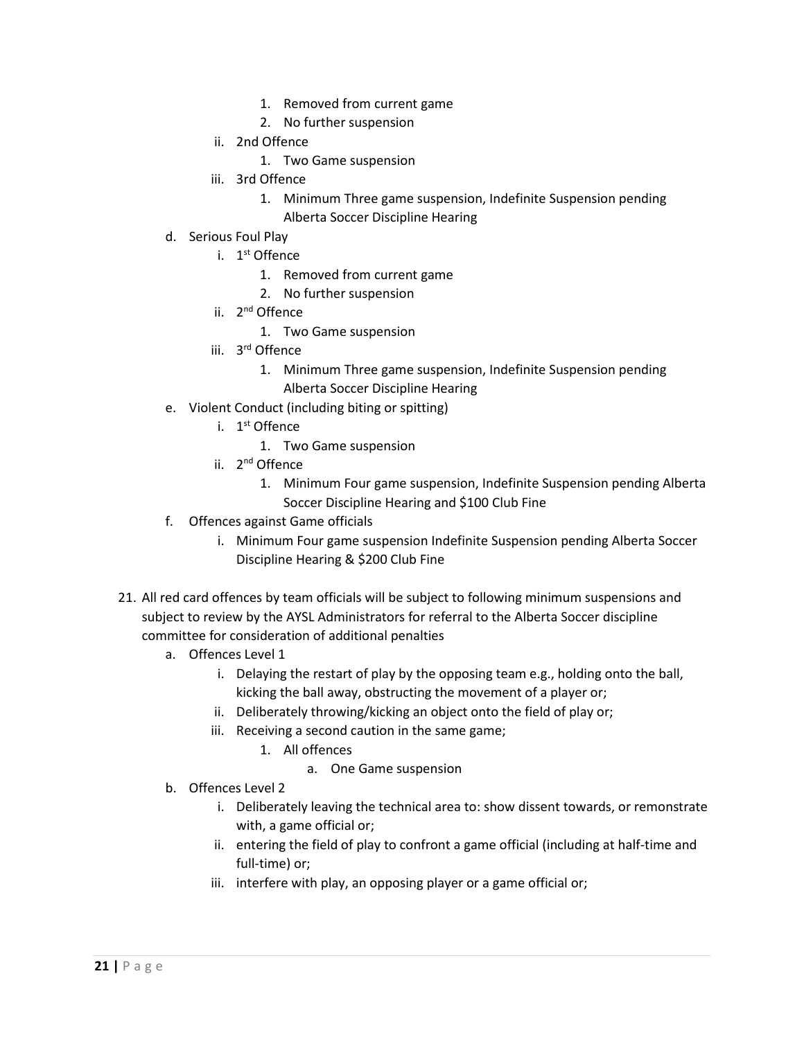- 1. Removed from current game
- 2. No further suspension
- ii. 2nd Offence
	- 1. Two Game suspension
- iii. 3rd Offence
	- 1. Minimum Three game suspension, Indefinite Suspension pending Alberta Soccer Discipline Hearing
- d. Serious Foul Play
	- i. 1<sup>st</sup> Offence
		- 1. Removed from current game
		- 2. No further suspension
	- ii. 2<sup>nd</sup> Offence
		- 1. Two Game suspension
	- iii. 3rd Offence
		- 1. Minimum Three game suspension, Indefinite Suspension pending
			- Alberta Soccer Discipline Hearing
- e. Violent Conduct (including biting or spitting)
	- i. 1<sup>st</sup> Offence
		- 1. Two Game suspension
	- ii. 2<sup>nd</sup> Offence
		- 1. Minimum Four game suspension, Indefinite Suspension pending Alberta Soccer Discipline Hearing and \$100 Club Fine
- f. Offences against Game officials
	- i. Minimum Four game suspension Indefinite Suspension pending Alberta Soccer Discipline Hearing & \$200 Club Fine
- 21. All red card offences by team officials will be subject to following minimum suspensions and subject to review by the AYSL Administrators for referral to the Alberta Soccer discipline committee for consideration of additional penalties
	- a. Offences Level 1
		- i. Delaying the restart of play by the opposing team e.g., holding onto the ball, kicking the ball away, obstructing the movement of a player or;
		- ii. Deliberately throwing/kicking an object onto the field of play or;
		- iii. Receiving a second caution in the same game;
			- 1. All offences
				- a. One Game suspension
	- b. Offences Level 2
		- i. Deliberately leaving the technical area to: show dissent towards, or remonstrate with, a game official or;
		- ii. entering the field of play to confront a game official (including at half-time and full-time) or;
		- iii. interfere with play, an opposing player or a game official or;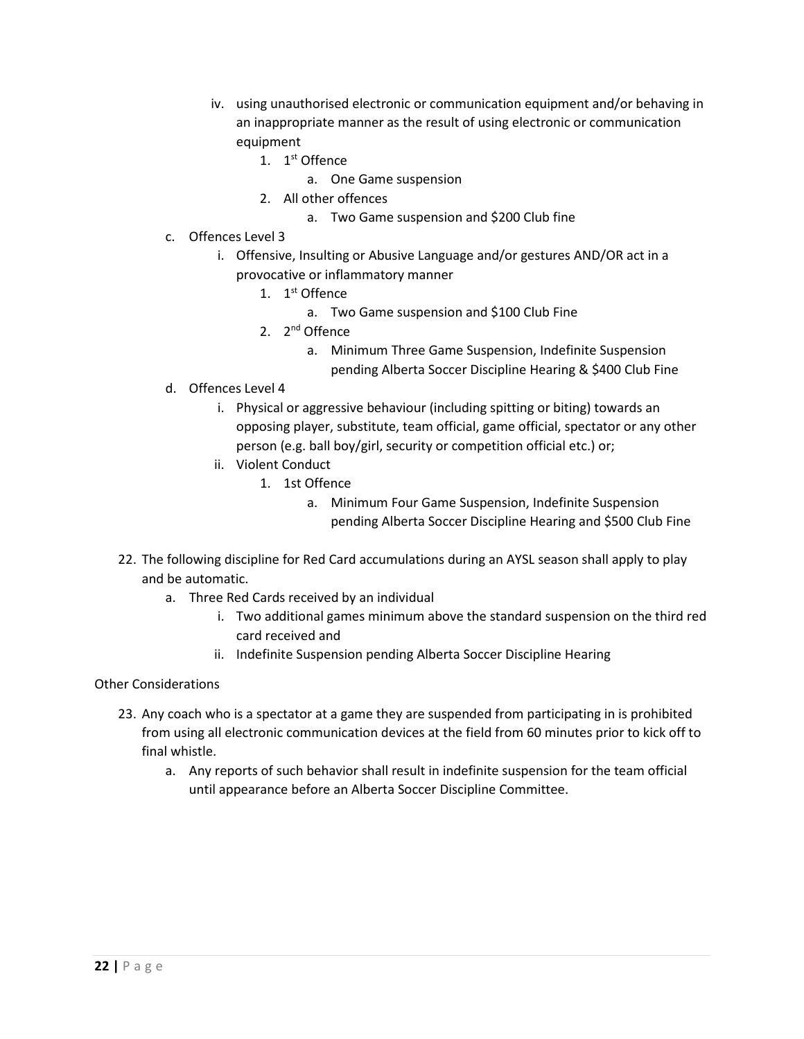- iv. using unauthorised electronic or communication equipment and/or behaving in an inappropriate manner as the result of using electronic or communication equipment
	- 1. 1<sup>st</sup> Offence
		- a. One Game suspension
	- 2. All other offences
		- a. Two Game suspension and \$200 Club fine
- c. Offences Level 3
	- i. Offensive, Insulting or Abusive Language and/or gestures AND/OR act in a provocative or inflammatory manner
		- 1.  $1^{\text{st}}$  Offence
			- a. Two Game suspension and \$100 Club Fine
		- 2.  $2^{nd}$  Offence
			- a. Minimum Three Game Suspension, Indefinite Suspension pending Alberta Soccer Discipline Hearing & \$400 Club Fine
- d. Offences Level 4
	- i. Physical or aggressive behaviour (including spitting or biting) towards an opposing player, substitute, team official, game official, spectator or any other person (e.g. ball boy/girl, security or competition official etc.) or;
	- ii. Violent Conduct
		- 1. 1st Offence
			- a. Minimum Four Game Suspension, Indefinite Suspension pending Alberta Soccer Discipline Hearing and \$500 Club Fine
- 22. The following discipline for Red Card accumulations during an AYSL season shall apply to play and be automatic.
	- a. Three Red Cards received by an individual
		- i. Two additional games minimum above the standard suspension on the third red card received and
		- ii. Indefinite Suspension pending Alberta Soccer Discipline Hearing

Other Considerations

- 23. Any coach who is a spectator at a game they are suspended from participating in is prohibited from using all electronic communication devices at the field from 60 minutes prior to kick off to final whistle.
	- a. Any reports of such behavior shall result in indefinite suspension for the team official until appearance before an Alberta Soccer Discipline Committee.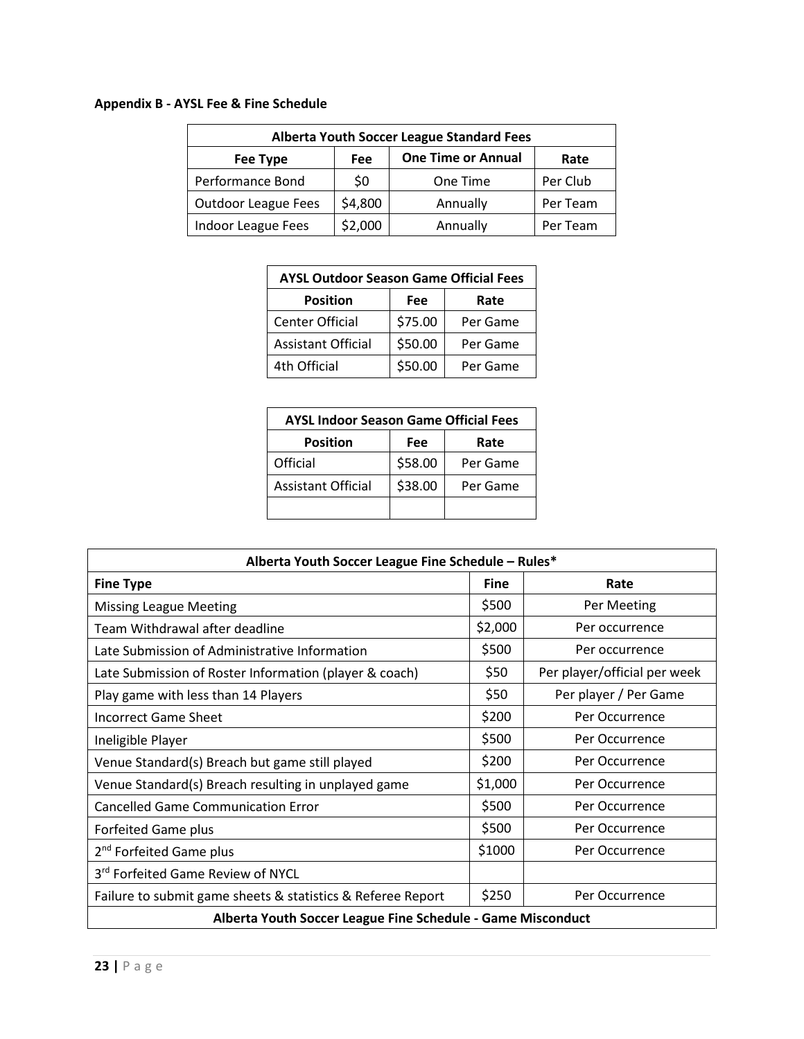# **Appendix B - AYSL Fee & Fine Schedule**

| <b>Alberta Youth Soccer League Standard Fees</b> |         |                           |          |
|--------------------------------------------------|---------|---------------------------|----------|
| Fee Type                                         | Fee     | <b>One Time or Annual</b> | Rate     |
| Performance Bond                                 | \$0     | One Time                  | Per Club |
| <b>Outdoor League Fees</b>                       | \$4,800 | Annually                  | Per Team |
| Indoor League Fees                               | \$2,000 | Annually                  | Per Team |

| <b>AYSL Outdoor Season Game Official Fees</b> |         |          |
|-----------------------------------------------|---------|----------|
| <b>Position</b>                               | Fee     | Rate     |
| <b>Center Official</b>                        | \$75.00 | Per Game |
| <b>Assistant Official</b>                     | \$50.00 | Per Game |
| 4th Official                                  | \$50.00 | Per Game |

| <b>AYSL Indoor Season Game Official Fees</b> |         |          |
|----------------------------------------------|---------|----------|
| <b>Position</b>                              | Fee     | Rate     |
| Official                                     | \$58.00 | Per Game |
| <b>Assistant Official</b>                    | \$38.00 | Per Game |
|                                              |         |          |

| Alberta Youth Soccer League Fine Schedule - Rules*          |             |                              |  |
|-------------------------------------------------------------|-------------|------------------------------|--|
| <b>Fine Type</b>                                            | <b>Fine</b> | Rate                         |  |
| <b>Missing League Meeting</b>                               | \$500       | Per Meeting                  |  |
| Team Withdrawal after deadline                              | \$2,000     | Per occurrence               |  |
| Late Submission of Administrative Information               | \$500       | Per occurrence               |  |
| Late Submission of Roster Information (player & coach)      | \$50        | Per player/official per week |  |
| Play game with less than 14 Players                         | \$50        | Per player / Per Game        |  |
| <b>Incorrect Game Sheet</b>                                 | \$200       | Per Occurrence               |  |
| Ineligible Player                                           | \$500       | Per Occurrence               |  |
| Venue Standard(s) Breach but game still played              | \$200       | Per Occurrence               |  |
| Venue Standard(s) Breach resulting in unplayed game         | \$1,000     | Per Occurrence               |  |
| <b>Cancelled Game Communication Error</b>                   | \$500       | Per Occurrence               |  |
| <b>Forfeited Game plus</b>                                  | \$500       | Per Occurrence               |  |
| 2 <sup>nd</sup> Forfeited Game plus                         | \$1000      | Per Occurrence               |  |
| 3rd Forfeited Game Review of NYCL                           |             |                              |  |
| Failure to submit game sheets & statistics & Referee Report | \$250       | Per Occurrence               |  |
| Alberta Youth Soccer League Fine Schedule - Game Misconduct |             |                              |  |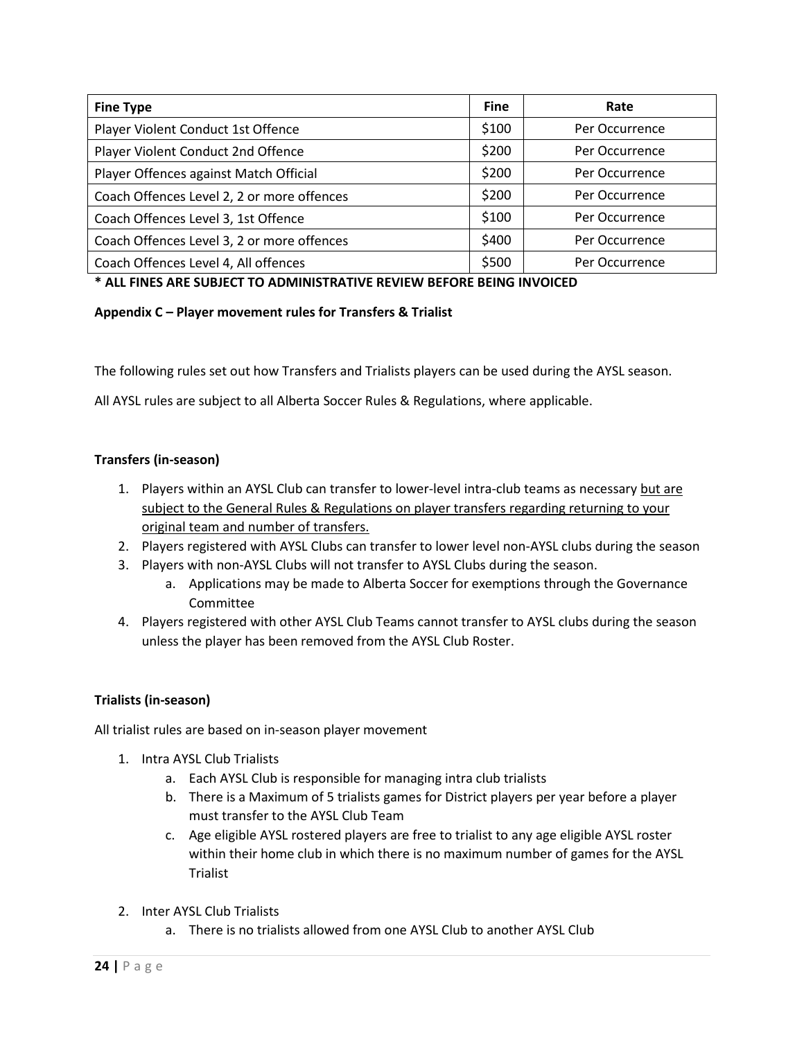| <b>Fine Type</b>                           | <b>Fine</b> | Rate           |
|--------------------------------------------|-------------|----------------|
| Player Violent Conduct 1st Offence         | \$100       | Per Occurrence |
| Player Violent Conduct 2nd Offence         | \$200       | Per Occurrence |
| Player Offences against Match Official     | \$200       | Per Occurrence |
| Coach Offences Level 2, 2 or more offences | \$200       | Per Occurrence |
| Coach Offences Level 3, 1st Offence        | \$100       | Per Occurrence |
| Coach Offences Level 3, 2 or more offences | \$400       | Per Occurrence |
| Coach Offences Level 4, All offences       | \$500       | Per Occurrence |

### **\* ALL FINES ARE SUBJECT TO ADMINISTRATIVE REVIEW BEFORE BEING INVOICED**

#### **Appendix C – Player movement rules for Transfers & Trialist**

The following rules set out how Transfers and Trialists players can be used during the AYSL season.

All AYSL rules are subject to all Alberta Soccer Rules & Regulations, where applicable.

#### **Transfers (in-season)**

- 1. Players within an AYSL Club can transfer to lower-level intra-club teams as necessary but are subject to the General Rules & Regulations on player transfers regarding returning to your original team and number of transfers.
- 2. Players registered with AYSL Clubs can transfer to lower level non-AYSL clubs during the season
- 3. Players with non-AYSL Clubs will not transfer to AYSL Clubs during the season.
	- a. Applications may be made to Alberta Soccer for exemptions through the Governance Committee
- 4. Players registered with other AYSL Club Teams cannot transfer to AYSL clubs during the season unless the player has been removed from the AYSL Club Roster.

#### **Trialists (in-season)**

All trialist rules are based on in-season player movement

- 1. Intra AYSL Club Trialists
	- a. Each AYSL Club is responsible for managing intra club trialists
	- b. There is a Maximum of 5 trialists games for District players per year before a player must transfer to the AYSL Club Team
	- c. Age eligible AYSL rostered players are free to trialist to any age eligible AYSL roster within their home club in which there is no maximum number of games for the AYSL Trialist
- 2. Inter AYSL Club Trialists
	- a. There is no trialists allowed from one AYSL Club to another AYSL Club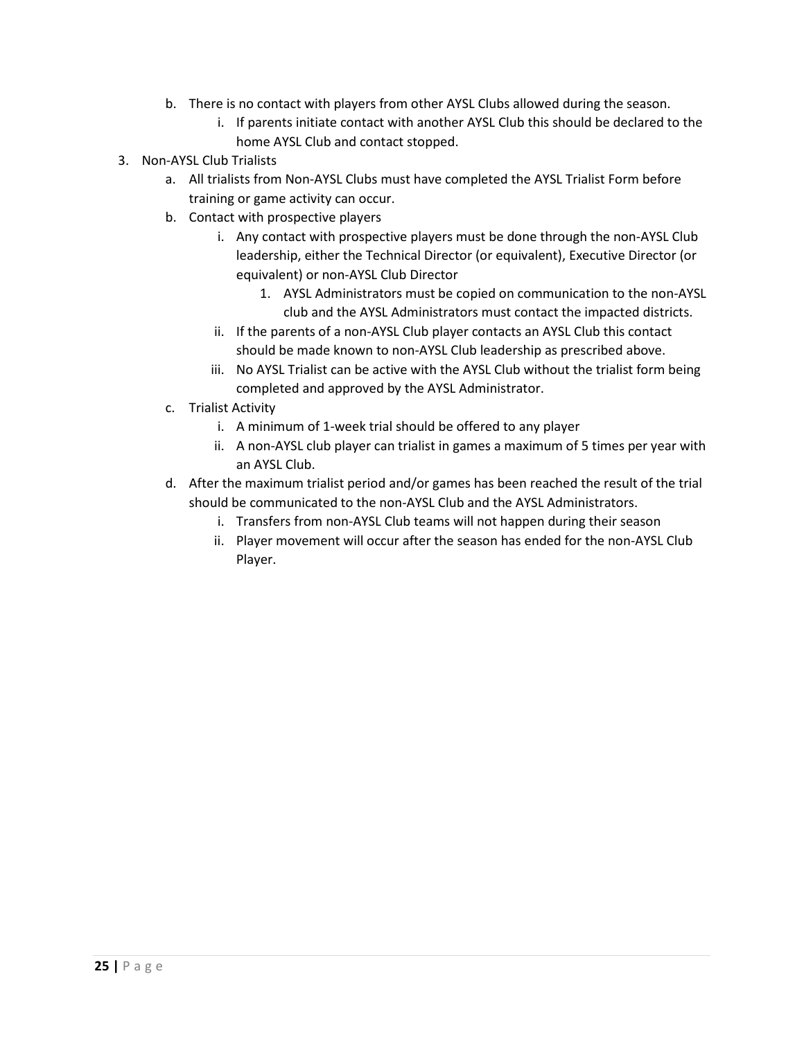- b. There is no contact with players from other AYSL Clubs allowed during the season.
	- i. If parents initiate contact with another AYSL Club this should be declared to the home AYSL Club and contact stopped.
- 3. Non-AYSL Club Trialists
	- a. All trialists from Non-AYSL Clubs must have completed the AYSL Trialist Form before training or game activity can occur.
	- b. Contact with prospective players
		- i. Any contact with prospective players must be done through the non-AYSL Club leadership, either the Technical Director (or equivalent), Executive Director (or equivalent) or non-AYSL Club Director
			- 1. AYSL Administrators must be copied on communication to the non-AYSL club and the AYSL Administrators must contact the impacted districts.
		- ii. If the parents of a non-AYSL Club player contacts an AYSL Club this contact should be made known to non-AYSL Club leadership as prescribed above.
		- iii. No AYSL Trialist can be active with the AYSL Club without the trialist form being completed and approved by the AYSL Administrator.
	- c. Trialist Activity
		- i. A minimum of 1-week trial should be offered to any player
		- ii. A non-AYSL club player can trialist in games a maximum of 5 times per year with an AYSL Club.
	- d. After the maximum trialist period and/or games has been reached the result of the trial should be communicated to the non-AYSL Club and the AYSL Administrators.
		- i. Transfers from non-AYSL Club teams will not happen during their season
		- ii. Player movement will occur after the season has ended for the non-AYSL Club Player.